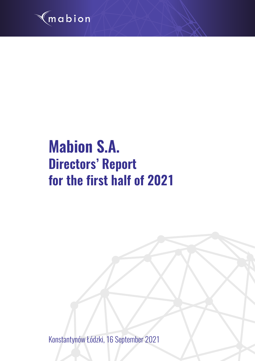

# **Mabion S.A. Directors' Report for the first half of 2021**

Konstantynów Łódzki, 16 September 2021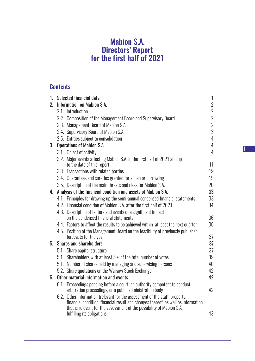# Mabion S.A. Directors' Report for the first half of 2021

# **Contents**

| 1.          |      | Selected financial data                                                                                                                                                                                                              | $\mathbf{1}$   |
|-------------|------|--------------------------------------------------------------------------------------------------------------------------------------------------------------------------------------------------------------------------------------|----------------|
| $2_{\cdot}$ |      | Information on Mabion S.A.                                                                                                                                                                                                           | $\overline{2}$ |
|             |      | 2.1. Introduction                                                                                                                                                                                                                    | $\overline{2}$ |
|             |      | 2.2. Composition of the Management Board and Supervisory Board                                                                                                                                                                       | $\overline{2}$ |
|             |      | 2.3. Management Board of Mabion S.A.                                                                                                                                                                                                 | $\overline{2}$ |
|             |      | 2.4. Supervisory Board of Mabion S.A.                                                                                                                                                                                                | 3              |
|             |      | 2.5. Entities subject to consolidation                                                                                                                                                                                               | $\overline{4}$ |
| 3.          |      | <b>Operations of Mabion S.A.</b>                                                                                                                                                                                                     | $\overline{4}$ |
|             |      | 3.1. Object of activity                                                                                                                                                                                                              | $\overline{4}$ |
|             |      | 3.2. Major events affecting Mabion S.A. in the first half of 2021 and up                                                                                                                                                             |                |
|             |      | to the date of this report                                                                                                                                                                                                           | 11             |
|             |      | 3.3. Transactions with related parties                                                                                                                                                                                               | 19             |
|             |      | 3.4. Guarantees and sureties granted for a loan or borrowing                                                                                                                                                                         | 19             |
|             |      | 3.5. Description of the main threats and risks for Mabion S.A.                                                                                                                                                                       | 20             |
| 4.          |      | Analysis of the financial condition and assets of Mabion S.A.                                                                                                                                                                        | 33             |
|             |      | 4.1. Principles for drawing up the semi-annual condensed financial statements                                                                                                                                                        | 33             |
|             |      | 4.2. Financial condition of Mabion S.A. after the first half of 2021.                                                                                                                                                                | 34             |
|             |      | 4.3. Description of factors and events of a significant impact                                                                                                                                                                       |                |
|             |      | on the condensed financial statements                                                                                                                                                                                                | 36             |
|             |      | 4.4. Factors to affect the results to be achieved within at least the next quarter                                                                                                                                                   | 36             |
|             |      | 4.5. Position of the Management Board on the feasibility of previously published                                                                                                                                                     |                |
|             |      | forecasts for the year                                                                                                                                                                                                               | 37             |
| 5.          |      | <b>Shares and shareholders</b>                                                                                                                                                                                                       | 37             |
|             |      | 5.1. Share capital structure                                                                                                                                                                                                         | 37             |
|             |      | 5.1. Shareholders with at least 5% of the total number of votes                                                                                                                                                                      | 39             |
|             |      | 5.1. Number of shares held by managing and supervising persons                                                                                                                                                                       | 40             |
|             |      | 5.2. Share quotations on the Warsaw Stock Exchange                                                                                                                                                                                   | 42             |
| 6.          |      | Other material information and events                                                                                                                                                                                                | 42             |
|             |      | 6.1. Proceedings pending before a court, an authority competent to conduct<br>arbitration proceedings, or a public administration body                                                                                               | 42             |
|             | 6.2. | Other information trelevant for the assessment of the staff, property,<br>financial condition, financial result and changes thereof, as well as information<br>that is relevant for the assessment of the possibility of Mabion S.A. |                |
|             |      | fulfilling its obligations.                                                                                                                                                                                                          | 43             |

I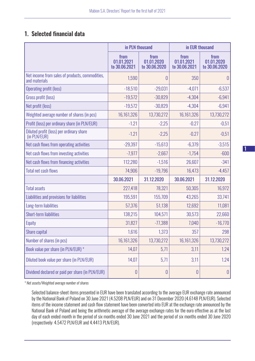# 1. Selected financial data

|                                                                  | in PLN thousand                      |                                     | in EUR thousand                     |                                     |
|------------------------------------------------------------------|--------------------------------------|-------------------------------------|-------------------------------------|-------------------------------------|
|                                                                  | from<br>01.01.2021<br>to 30.06.2021  | from<br>01.01.2020<br>to 30.06.2020 | from<br>01.01.2021<br>to 30.06.2021 | from<br>01.01.2020<br>to 30.06.2020 |
| Net income from sales of products, commodities,<br>and materials | 1,590                                | 0                                   | 350                                 | $\theta$                            |
| <b>Operating profit (loss)</b>                                   | $-18,510$                            | $-29,031$                           | $-4,071$                            | $-6,537$                            |
| Gross profit (loss)                                              | $-19,572$                            | $-30,829$                           | $-4,304$                            | $-6,941$                            |
| Net profit (loss)                                                | $-19,572$                            | $-30,829$                           | $-4,304$                            | $-6,941$                            |
| Weighted average number of shares (in pcs)                       | 16,161,326                           | 13,730,272                          | 16,161,326                          | 13,730,272                          |
| Profit (loss) per ordinary share (in PLN/EUR)                    | $-1.21$                              | $-2,25$                             | $-0.27$                             | $-0,51$                             |
| Diluted profit (loss) per ordinary share<br>(in PLN/EUR)         | $-1.21$                              | $-2,25$                             | $-0.27$                             | $-0,51$                             |
| Net cash flows from operating activities                         | $-29,397$                            | $-15,613$                           | $-6,379$                            | $-3,515$                            |
| Net cash flows from investing activities                         | $-7,977$                             | $-2,667$                            | $-1,754$                            | $-600$                              |
| Net cash flows from financing activities                         | 112,280                              | $-1,516$                            | 26,607                              | $-341$                              |
| <b>Total net cash flows</b>                                      | 74,906                               | $-19,796$                           | 16,473                              | $-4,457$                            |
|                                                                  | 30.06.2021                           | 31.12.2020                          | 30.06.2021                          | 31.12.2020                          |
| <b>Total assets</b>                                              | 227,418                              | 78,321                              | 50,305                              | 16,972                              |
| Liabilities and provisions for liabilities                       | 195,591                              | 155,709                             | 43,265                              | 33,741                              |
| Long-term liabilities                                            | 57,376                               | 51,138                              | 12,692                              | 11,081                              |
| <b>Short-term liabilities</b>                                    | 138,215                              | 104,571                             | 30,573                              | 22,660                              |
| Equity                                                           | 31,827                               | $-77,388$                           | 7,040                               | $-16,770$                           |
| Share capital                                                    | 1,616                                | 1,373                               | 357                                 | 298                                 |
| Number of shares (in pcs)                                        | 16,161,326                           | 13,730,272                          | 16,161,326                          | 13,730,272                          |
| Book value per share (in PLN/EUR) *                              | 14,07                                | 5,71                                | 3,11                                | 1.24                                |
| Diluted book value per share (in PLN/EUR)                        | 14,07                                | 5,71                                | 3,11                                | 1.24                                |
| Dividend declared or paid per share (in PLN/EUR)                 | $\begin{matrix} 0 \\ 0 \end{matrix}$ | 0                                   | 0                                   | $\theta$                            |

*\* Net assets/Weighted average number of shares*

Selected balance-sheet items presented in EUR have been translated according to the average EUR exchange rate announced by the National Bank of Poland on 30 June 2021 (4.5208 PLN/EUR) and on 31 December 2020 (4.6148 PLN/EUR). Selected items of the income statement and cash flow statement have been converted into EUR at the exchange rate announced by the National Bank of Poland and being the arithmetic average of the average exchange rates for the euro effective as at the last day of each ended month in the period of six months ended 30 June 2021 and the period of six months ended 30 June 2020 (respectively: 4.5472 PLN/EUR and 4.4413 PLN/EUR).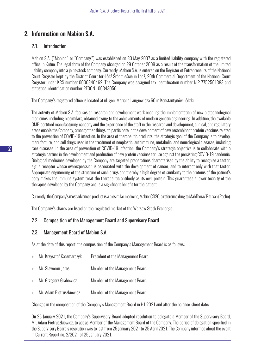# 2. Information on Mabion S.A.

## 2.1. Introduction

Mabion S.A. ("Mabion" or "Company") was established on 30 May 2007 as a limited liability company with the registered office in Kutno. The legal form of the Company changed on 29 October 2009 as a result of the transformation of the limited liability company into a joint-stock company. Currently, Mabion S.A. is entered on the Register of Entrepreneurs of the National Court Register kept by the District Court for Łódź Śródmieście in Łódź, 20th Commercial Department of the National Court Register under KRS number 0000340462. The Company was assigned tax identification number NIP 7752561383 and statistical identification number REGON 100343056.

The Company's registered office is located at ul. gen. Mariana Langiewicza 60 in Konstantynów Łódzki.

The activity of Mabion S.A. focuses on research and development work enabling the implementation of new biotechnological medicines, including biosimilars, obtained owing to the achievements of modern genetic engineering. In addition, the available GMP-certified manufacturing capacity and the experience of the staff in the research and development, clinical, and regulatory areas enable the Company, among other things, to participate in the development of new recombinant protein vaccines related to the prevention of COVID-19 infection. In the area of therapeutic products, the strategic goal of the Company is to develop, manufacture, and sell drugs used in the treatment of neoplastic, autoimmune, metabolic, and neurological diseases, including rare diseases. In the area of prevention of COVID-19 infection, the Company's strategic objective is to collaborate with a strategic partner in the development and production of new protein vaccines for use against the persisting COVID-19 pandemic. Biological medicines developed by the Company are targeted preparations characterised by the ability to recognise a factor, e.g. a receptor whose overexpression is associated with the development of cancer, and to interact only with that factor. Appropriate engineering of the structure of such drugs and thereby a high degree of similarity to the proteins of the patient's body makes the immune system treat the therapeutic antibody as its own protein. This guarantees a lower toxicity of the therapies developed by the Company and is a significant benefit for the patient.

Currently, the Company's most advanced product is a biosimilar medicine, MabionCD20, a reference drug to MabThera/ Rituxan (Roche).

The Company's shares are listed on the regulated market of the Warsaw Stock Exchange.

## 2.2. Composition of the Management Board and Supervisory Board

## 2.3. Management Board of Mabion S.A.

As at the date of this report, the composition of the Company's Management Board is as follows:

- » Mr. Krzysztof Kaczmarczyk President of the Management Board;
- » Mr. Sławomir Jaros Member of the Management Board;
- » Mr. Grzegorz Grabowicz Member of the Management Board;
- » Mr. Adam Pietruszkiewicz Member of the Management Board.

Changes in the composition of the Company's Management Board in H1 2021 and after the balance-sheet date:

On 25 January 2021, the Company's Supervisory Board adopted resolution to delegate a Member of the Supervisory Board, Mr. Adam Pietruszkiewicz, to act as Member of the Management Board of the Company. The period of delegation specified in the Supervisory Board's resolution was to last from 25 January 2021 to 25 April 2021. The Company informed about the event in Current Report no. 2/2021 of 25 January 2021.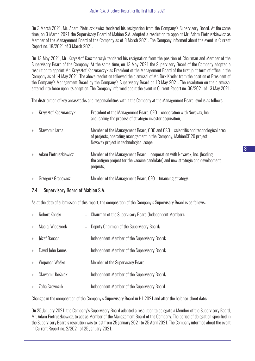On 3 March 2021, Mr. Adam Pietruszkiewicz tendered his resignation from the Company's Supervisory Board. At the same time, on 3 March 2021 the Supervisory Board of Mabion S.A. adopted a resolution to appoint Mr. Adam Pietruszkiewicz as Member of the Management Board of the Company as of 3 March 2021. The Company informed about the event in Current Report no. 18/2021 of 3 March 2021.

On 13 May 2021, Mr. Krzysztof Kaczmarczyk tendered his resignation from the position of Chairman and Member of the Supervisory Board of the Company. At the same time, on 13 May 2021 the Supervisory Board of the Company adopted a resolution to appoint Mr. Krzysztof Kaczmarczyk as President of the Management Board of the first joint term of office in the Company as of 14 May 2021. The above resolution followed the dismissal of Mr. Dirk Kreder from the position of President of the Company's Management Board by the Company's Supervisory Board on 13 May 2021. The resolution on the dismissal entered into force upon its adoption. The Company informed about the event in Current Report no. 36/2021 of 13 May 2021.

The distribution of key areas/tasks and responsibilities within the Company at the Management Board level is as follows:

| $\mathcal{P}$ | Krzysztof Kaczmarczyk |                | - President of the Management Board, CEO – cooperation with Novavax, Inc.<br>and leading the process of strategic investor acquisition,                                                             |
|---------------|-----------------------|----------------|-----------------------------------------------------------------------------------------------------------------------------------------------------------------------------------------------------|
| $\rightarrow$ | Sławomir Jaros        | $\sim$ $^{-1}$ | Member of the Management Board, COO and CSO – scientific and technological area<br>of projects, operating management in the Company, MabionCD20 project,<br>Novavax project in technological scope, |
| $\rightarrow$ | Adam Pietruszkiewicz  | $\equiv$       | Member of the Management Board - cooperation with Novavax, Inc. (leading<br>the antigen project for the vaccine candidate) and new strategic and development<br>projects,                           |
|               |                       |                |                                                                                                                                                                                                     |

» Grzegorz Grabowicz – Member of the Management Board, CFO – financing strategy.

## 2.4. Supervisory Board of Mabion S.A.

As at the date of submission of this report, the composition of the Company's Supervisory Board is as follows:

- » Robert Koński Chairman of the Supervisory Board (Independent Member);
- » Maciej Wieczorek Deputy Chairman of the Supervisory Board;
- » Józef Banach Independent Member of the Supervisory Board;
- » David John James Independent Member of the Supervisory Board;
- » Wojciech Wośko Member of the Supervisory Board;
- » Sławomir Kościak Independent Member of the Supervisory Board;
- » Zofia Szewczuk Independent Member of the Supervisory Board.

Changes in the composition of the Company's Supervisory Board in H1 2021 and after the balance-sheet date:

On 25 January 2021, the Company's Supervisory Board adopted a resolution to delegate a Member of the Supervisory Board, Mr. Adam Pietruszkiewicz, to act as Member of the Management Board of the Company. The period of delegation specified in the Supervisory Board's resolution was to last from 25 January 2021 to 25 April 2021. The Company informed about the event in Current Report no. 2/2021 of 25 January 2021.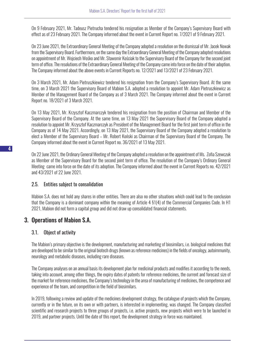On 9 February 2021, Mr. Tadeusz Pietrucha tendered his resignation as Member of the Company's Supervisory Board with effect as of 23 February 2021. The Company informed about the event in Current Report no. 7/2021 of 9 February 2021.

On 23 June 2021, the Extraordinary General Meeting of the Company adopted a resolution on the dismissal of Mr. Jacek Nowak from the Supervisory Board. Furthermore, on the same day the Extraordinary General Meeting of the Company adopted resolutions on appointment of Mr. Wojciech Wośko and Mr. Sławomir Kościak to the Supervisory Board of the Company for the second joint term of office. The resolutions of the Extraordinary General Meeting of the Company came into force on the date of their adoption. The Company informed about the above events in Current Reports no. 12/2021 and 13/2021 of 23 February 2021.

On 3 March 2021, Mr. Adam Pietruszkiewicz tendered his resignation from the Company's Supervisory Board. At the same time, on 3 March 2021 the Supervisory Board of Mabion S.A. adopted a resolution to appoint Mr. Adam Pietruszkiewicz as Member of the Management Board of the Company as of 3 March 2021. The Company informed about the event in Current Report no. 18/2021 of 3 March 2021.

On 13 May 2021, Mr. Krzysztof Kaczmarczyk tendered his resignation from the position of Chairman and Member of the Supervisory Board of the Company. At the same time, on 13 May 2021 the Supervisory Board of the Company adopted a resolution to appoint Mr. Krzysztof Kaczmarczyk as President of the Management Board for the first joint term of office in the Company as of 14 May 2021. Accordingly, on 13 May 2021, the Supervisory Board of the Company adopted a resolution to elect a Member of the Supervisory Board – Mr. Robert Koński as Chairman of the Supervisory Board of the Company. The Company informed about the event in Current Report no. 36/2021 of 13 May 2021.

On 22 June 2021, the Ordinary General Meeting of the Company adopted a resolution on the appointment of Ms. Zofia Szewczuk as Member of the Supervisory Board for the second joint term of office. The resolution of the Company's Ordinary General Meeting came into force on the date of its adoption. The Company informed about the event in Current Reports no. 42/2021 and 43/2021 of 22 June 2021.

## 2.5. Entities subject to consolidation

Mabion S.A. does not hold any shares in other entities. There are also no other situations which could lead to the conclusion that the Company is a dominant company within the meaning of Article 4 §1(4) of the Commercial Companies Code. In H1 2021, Mabion did not form a capital group and did not draw up consolidated financial statements.

# 3. Operations of Mabion S.A.

## 3.1. Object of activity

The Mabion's primary objective is the development, manufacturing and marketing of biosimilars, i.e. biological medicines that are developed to be similar to the original biotech drugs (known as reference medicines) in the fields of oncology, autoimmunity, neurology and metabolic diseases, including rare diseases.

The Company analyses on an annual basis its development plan for medicinal products and modifies it according to the needs, taking into account, among other things, the expiry dates of patents for reference medicines, the current and forecast size of the market for reference medicines, the Company's technology in the area of manufacturing of medicines, the competence and experience of the team, and competition in the field of biosimilars.

In 2019, following a review and update of the medicines development strategy, the catalogue of projects which the Company, currently or in the future, on its own or with partners, is interested in implementing, was changed. The Company classified scientific and research projects to three groups of projects, i.e. active projects, new projects which were to be launched in 2019, and partner projects. Until the date of this report, the development strategy in force was maintained.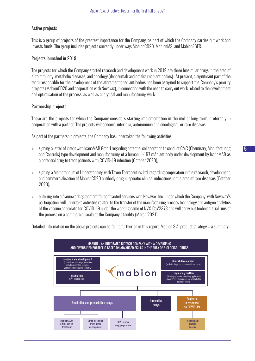#### Active projects

This is a group of projects of the greatest importance for the Company, as part of which the Company carries out work and invests funds. The group includes projects currently under way: MabionCD20, MabionMS, and MabionEGFR.

#### Projects launched in 2019

The projects for which the Company started research and development work in 2019 are three biosimilar drugs in the area of autoimmunity, metabolic diseases, and oncology (denosumab and omalizumab antibodies). At present, a significant part of the team responsible for the development of the aforementioned antibodies has been assigned to support the Company's priority projects (MabionCD20 and cooperation with Novavax), in connection with the need to carry out work related to the development and optimisation of the process, as well as analytical and manufacturing work.

#### Partnership projects

These are the projects for which the Company considers starting implementation in the mid or long term, preferably in cooperation with a partner. The projects will concern, inter alia, autoimmune and oncological, or rare diseases.

As part of the partnership projects, the Company has undertaken the following activities:

- » signing a letter of intent with IcanoMAB GmbH regarding potential collaboration to conduct CMC (Chemistry, Manufacturing and Controls) type development and manufacturing of a human IL-1R7 mAb antibody under development by IcanoMAB as a potential drug to treat patients with COVID-19 infection (October 2020),
- » signing a Memorandum of Understanding with Taxon Therapeutics Ltd. regarding cooperation in the research, development, and commercialisation of MabionCD20 antibody drug in specific clinical indications in the area of rare diseases (October 2020);
- » entering into a framework agreement for contracted services with Novavax, Inc. under which the Company, with Novavax's participation, will undertake activities related to the transfer of the manufacturing process technology and antigen analytics of the vaccine candidate for COVID-19 under the working name of NVX-CoV2373 and will carry out technical trial runs of the process on a commercial scale at the Company's facility (March 2021).

Detailed information on the above projects can be found further on in this report. Mabion S.A. product strategy – a summary.

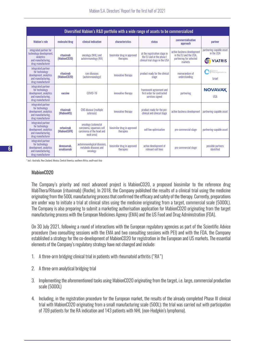|                                                                                                           | Diversified Mabion's R&D portfolio with a wide range of assets to be commercialized |                                                                                             |                                          |                                                                                              |                                                                                             |                                                               |  |  |
|-----------------------------------------------------------------------------------------------------------|-------------------------------------------------------------------------------------|---------------------------------------------------------------------------------------------|------------------------------------------|----------------------------------------------------------------------------------------------|---------------------------------------------------------------------------------------------|---------------------------------------------------------------|--|--|
| <b>Mabion's role</b>                                                                                      | molecule/drug                                                                       | clinical indication                                                                         | characteristics                          | status                                                                                       | commercialisation<br>approach                                                               | partner                                                       |  |  |
| integrated partner for<br>technology development,<br>analytics<br>and manufacturing,<br>drug manufacturer | rituximab<br>(MabionCD20)                                                           | oncology (NHL) and<br>autoimmunology (RA)                                                   | biosimilar drug in approved<br>therapies | at the registration stage in<br>the EU and at the phase I<br>clinical trial stage in the USA | active business development<br>in the EU and the USA.<br>partnering for selected<br>markets | partnering-capable asset<br>in the USA<br><b>VIATRIS</b><br>4 |  |  |
| integrated partner<br>for technology<br>development, analytics<br>and manufacturing.<br>drug manufacturer | rituximab<br>(MabionCD20)                                                           | rare diseases<br>(autoimmunology)                                                           | innovative therapy                       | product ready for the clinical<br>stage                                                      | memorandum of<br>understanding                                                              | Taxon<br>Therapeutics<br><b>Izrael</b>                        |  |  |
| integrated partner<br>for technology<br>development, analytics<br>and manufacturing.<br>drug manufacturer | vaccine                                                                             | COVID-19                                                                                    | innovative therapy                       | framework agreement and<br>first order for contracted<br>services signed                     | partnering                                                                                  | <b>NOVAVAX</b><br><b>USA</b>                                  |  |  |
| integrated partner<br>for technology<br>development, analytics<br>and manufacturing.<br>drug manufacturer | rituximab<br>(MabionMS)                                                             | <b>CNS</b> disease (multiple<br>sclerosis)                                                  | innovative therapy                       | product ready for the pre-<br>clinical and clinical stage                                    | active business development                                                                 | partnering-capable asset                                      |  |  |
| integrated partner<br>for technology<br>development, analytics<br>and manufacturing.<br>drug manufacturer | cetuximab<br>(MabionEGFR)                                                           | oncology (colorectal<br>carcinoma, squamous cell<br>carcinoma of the head and<br>neck area) | biosimilar drug in approved<br>therapies | cell line optimisation                                                                       | pre-commercial stage                                                                        | partnering-capable asset                                      |  |  |
| integrated partner<br>for technology<br>development, analytics<br>and manufacturing,<br>drug manufacturer | denosumab.<br>omalizumab                                                            | autoimmunological diseases.<br>metabolic diseases and<br>oncology                           | biosimilar drug in approved<br>therapies | active development of<br>relevant cell lines                                                 | pre-commercial stage                                                                        | possible partners<br>identified                               |  |  |

*\* incl.: Australia, New Zealand, Mexico, Central America, southern Africa, south-east Asia*

#### MahinnCD<sub>20</sub>

The Company's priority and most advanced project is MabionCD20, a proposed biosimilar to the reference drug MabThera/Rituxan (rituximab) (Roche). In 2018, the Company published the results of a clinical trial using the medicine originating from the 500L manufacturing process that confirmed the efficacy and safety of the therapy. Currently, preparations are under way to initiate a trial at clinical sites using the medicine originating from a target, commercial scale (5000L). The Company is also preparing to submit a marketing authorisation application for MabionCD20 originating from the target manufacturing process with the European Medicines Agency (EMA) and the US Food and Drug Administration (FDA).

On 30 July 2021, following a round of interactions with the European regulatory agencies as part of the Scientific Advice procedure (two consulting sessions with the EMA and two consulting sessions with PEI) and with the FDA, the Company established a strategy for the co-development of MabionCD20 for registration in the European and US markets. The essential elements of the Company's regulatory strategy have not changed and include:

- 1. A three-arm bridging clinical trial in patients with rheumatoid arthritis ("RA")
- 2. A three-arm analytical bridging trial
- 3. Implementing the aforementioned tasks using MabionCD20 originating from the target, i.e. large, commercial production scale (5000L)
- 4. Including, in the registration procedure for the European market, the results of the already completed Phase III clinical trial with MabionCD20 originating from a small manufacturing scale (500L); the trial was carried out with participation of 709 patients for the RA indication and 143 patients with NHL (non-Hodgkin's lymphoma).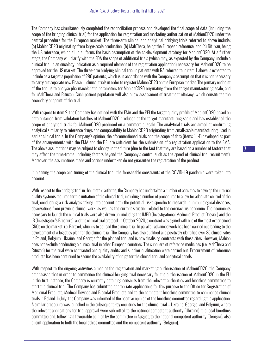The Company has simultaneously completed the reconciliation process and developed the final scope of data (including the scope of the bridging clinical trial) for the application for registration and marketing authorisation of MabionCD20 under the central procedure for the European market. The three-arm clinical and analytical bridging trials referred to above include: (a) MabionCD20 originating from large-scale production, (b) MabThera, being the European reference, and (c) Rituxan, being the US reference, which all in all forms the basic assumption of the co-development strategy for MabionCD20. At a further stage, the Company will clarify with the FDA the scope of additional trials (which may, as expected by the Company, include a clinical trial in an oncology indication as a required element of the registration application) necessary for MabionCD20 to be approved for the US market. The three-arm bridging clinical trial in patients with RA referred to in item 1 above is expected to include as a target a population of 280 patients, which is in accordance with the Company's assumption that it is not necessary to carry out separate new Phase III clinical trials in order to register MabionCD20 on the European market. The primary endpoint of the trial is to analyse pharmacokinetic parameters for MabionCD20 originating from the target manufacturing scale, and for MabThera and Rituxan. Such patient population will also allow assessment of treatment efficacy, which constitutes the secondary endpoint of the trial.

With respect to item 2, the Company has defined with the EMA and the PEI the target quality profile of MabionCD20 based on data obtained from validation batches of MabionCD20 produced at the target manufacturing scale and has established the scope of analytical trials for MabionCD20 produced on a commercial scale. The analytical trials are aimed at confirming analytical similarity to reference drugs and comparability to MabionCD20 originating from small-scale manufacturing, used in earlier clinical trials. In the Company's opinion, the aforementioned trials and the scope of data (items 1–4) developed as part of the arrangements with the EMA and the PEI are sufficient for the submission of a registration application to the EMA. The above assumptions may be subject to change in the future (due to the fact that they are based on a number of factors that may affect the time-frame, including factors beyond the Company's control such as the speed of clinical trial recruitment). Moreover, the assumptions made and actions undertaken do not guarantee the registration of the product.

In planning the scope and timing of the clinical trial, the foreseeable constraints of the COVID-19 pandemic were taken into account.

With respect to the bridging trial in rheumatoid arthritis, the Company has undertaken a number of activities to develop the internal quality systems required for the initiation of the clinical trial, including a number of procedures to allow for adequate control of the trial, conducting a risk analysis taking into account both the potential risks specific to research in immunological diseases, observations from previous clinical work, as well as the current situation related to the coronavirus pandemic. The documents necessary to launch the clinical trials were also drawn up, including the IMPD (Investigational Medicinal Product Dossier) and the IB (Investigator's Brochure), and the clinical trial protocol. In October 2020, a contract was signed with one of the most experienced CROs on the market, i.e. Parexel, which is to co-lead the clinical trial. In parallel, advanced work has been carried out leading to the development of a logistics plan for the clinical trial. The Company has also qualified and positively identified over 35 clinical sites in Poland, Belgium, Ukraine, and Georgia for the planned trial and is now finalising contracts with these sites. However, Mabion does not exclude conducting a clinical trial in other European countries. The suppliers of reference medicines (i.e. MabThera and Rituxan) for the trial were contracted and quality audits and supplier qualification were carried out. Procurement of reference products has been continued to secure the availability of drugs for the clinical trial and analytical panels.

With respect to the ongoing activities aimed at the registration and marketing authorisation of MabionCD20, the Company emphasises that in order to commence the clinical bridging trial necessary for the authorisation of MabionCD20 in the EU in the first instance, the Company is currently obtaining consents from the relevant authorities and bioethics committees to start the clinical trial. The Company has submitted appropriate applications for this purpose to the Office for Registration of Medicinal Products, Medical Devices and Biocidal Products and to the competent bioethics committee to commence clinical trials in Poland. In July, the Company was informed of the positive opinion of the bioethics committee regarding the application. A similar procedure was launched in the subsequent key countries for the clinical trial – Ukraine, Georgia, and Belgium, where the relevant applications for trial approval were submitted to the national competent authority (Ukraine), the local bioethics committee and, following a favourable opinion by the committee in August, to the national competent authority (Georgia); also a joint application to both the local ethics committee and the competent authority (Belgium).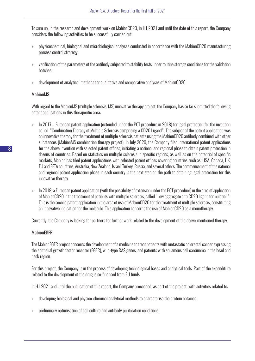To sum up, in the research and development work on MabionCD20, in H1 2021 and until the date of this report, the Company considers the following activities to be successfully carried out:

- » physicochemical, biological and microbiological analyses conducted in accordance with the MabionCD20 manufacturing process control strategy;
- » verification of the parameters of the antibody subjected to stability tests under routine storage conditions for the validation batches;
- » development of analytical methods for qualitative and comparative analyses of MabionCD20.

#### MabionMS

With regard to the MabionMS (multiple sclerosis, MS) innovative therapy project, the Company has so far submitted the following patent applications in this therapeutic area:

- » In 2017 European patent application (extended under the PCT procedure in 2018) for legal protection for the invention called "Combination Therapy of Multiple Sclerosis comprising a CD20 Ligand". The subject of the patent application was an innovative therapy for the treatment of multiple sclerosis patients using the MabionCD20 antibody combined with other substances (MabionMS combination therapy project). In July 2020, the Company filed international patent applications for the above invention with selected patent offices, initiating a national and regional phase to obtain patent protection in dozens of countries. Based on statistics on multiple sclerosis in specific regions, as well as on the potential of specific markets, Mabion has filed patent applications with selected patent offices covering countries such as: USA, Canada, UK, EU and EFTA countries, Australia, New Zealand, Israel, Turkey, Russia, and several others. The commencement of the national and regional patent application phase in each country is the next step on the path to obtaining legal protection for this innovative therapy.
- » In 2018, a European patent application (with the possibility of extension under the PCT procedure) in the area of application of MabionCD20 in the treatment of patients with multiple sclerosis, called "Low aggregate anti CD20 ligand formulation". This is the second patent application in the area of use of MabionCD20 for the treatment of multiple sclerosis, constituting an innovative indication for the molecule. This application concerns the use of MabionCD20 as a monotherapy.

Currently, the Company is looking for partners for further work related to the development of the above-mentioned therapy.

#### MabionEGFR

The MabionEGFR project concerns the development of a medicine to treat patients with metastatic colorectal cancer expressing the epithelial growth factor receptor (EGFR), wild-type RAS genes, and patients with squamous cell carcinoma in the head and neck region.

For this project, the Company is in the process of developing technological bases and analytical tools. Part of the expenditure related to the development of the drug is co-financed from EU funds.

In H1 2021 and until the publication of this report, the Company proceeded, as part of the project, with activities related to:

- » developing biological and physico-chemical analytical methods to characterise the protein obtained;
- » preliminary optimisation of cell culture and antibody purification conditions.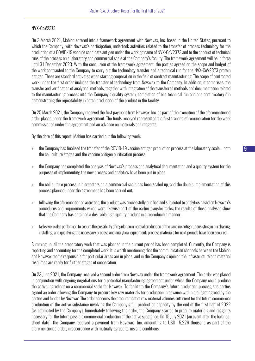#### NVX-CoV2373

On 3 March 2021, Mabion entered into a framework agreement with Novavax, Inc. based in the United States, pursuant to which the Company, with Novavax's participation, undertook activities related to the transfer of process technology for the production of a COVID-19 vaccine candidate antigen under the working name of NVX-CoV2373 and to the conduct of technical runs of the process on a laboratory and commercial scale at the Company's facility. The framework agreement will be in force until 31 December 2023. With the conclusion of the framework agreement, the parties agreed on the scope and budget of the work contracted to the Company to carry out the technology transfer and a technical run for the NVX-CoV2373 protein antigen. These are standard activities when starting cooperation in the field of contract manufacturing. The scope of contracted work under the first order includes the transfer of technology from Novavax to the Company. In addition, it comprises: the transfer and verification of analytical methods, together with integration of the transferred methods and documentation related to the manufacturing process into the Company's quality system, completion of one technical run and one confirmatory run demonstrating the repeatability in batch production of the product in the facility.

On 25 March 2021, the Company received the first payment from Novavax, Inc. as part of the execution of the aforementioned order placed under the framework agreement. The funds received represented the first tranche of remuneration for the work commissioned under the agreement and an advance on materials and reagents.

By the date of this report, Mabion has carried out the following work:

- » the Company has finalised the transfer of the COVID-19 vaccine antigen production process at the laboratory scale both the cell culture stages and the vaccine antigen purification process;
- » the Company has completed the analysis of Novavax's process and analytical documentation and a quality system for the purposes of implementing the new process and analytics have been put in place.
- » the cell culture process in bioreactors on a commercial scale has been scaled up, and the double implementation of this process planned under the agreement has been carried out;
- » following the aforementioned activities, the product was successfully purified and subjected to analytics based on Novavax's procedures and requirements which were likewise part of the earlier transfer tasks; the results of these analyses show that the Company has obtained a desirable high-quality product in a reproducible manner;
- » tasks were also performed to secure the possibility of regular commercial production of the vaccine antigen, consisting in purchasing, installing, and qualifying the necessary process and analytical equipment; process materials for next periods have been secured.

Summing up, all the preparatory work that was planned in the current period has been completed. Currently, the Company is reporting and accounting for the completed work. It is worth mentioning that the communication channels between the Mabion and Novavax teams responsible for particular areas are in place, and in the Company's opinion the infrastructure and material resources are ready for further stages of cooperation.

On 23 June 2021, the Company received a second order from Novavax under the framework agreement. The order was placed in conjunction with ongoing negotiations for a potential manufacturing agreement under which the Company could produce the active ingredient on a commercial scale for Novavax. To facilitate the Company's future production process, the parties signed an order allowing the Company to procure key raw materials for production in advance within a budget agreed by the parties and funded by Novavax. The order concerns the procurement of raw material volumes sufficient for the future commercial production of the active substance involving the Company's full production capacity by the end of the first half of 2022 (as estimated by the Company). Immediately following the order, the Company started to procure materials and reagents necessary for the future possible commercial production of the active substance. On 15 July 2021 (an event after the balancesheet date), the Company received a payment from Novavax Inc. amounting to USD 15,226 thousand as part of the aforementioned order, in accordance with mutually agreed terms and conditions.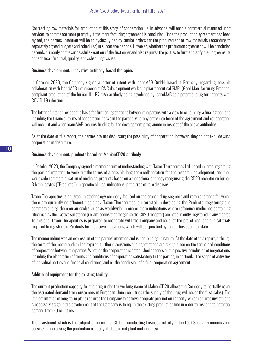Contracting raw materials for production at this stage of cooperation, i.e. in advance, will enable commercial manufacturing services to commence more promptly if the manufacturing agreement is concluded. Once the production agreement has been signed, the parties' intention will be to cyclically deploy similar orders for the procurement of raw materials (according to separately agreed budgets and schedules) in successive periods. However, whether the production agreement will be concluded depends primarily on the successful execution of the first order and also requires the parties to further clarify their agreements on technical, financial, quality, and scheduling issues.

#### Business development: innovative antibody-based therapies

In October 2020, the Company signed a letter of intent with IcanoMAB GmbH, based in Germany, regarding possible collaboration with IcanoMAB in the scope of CMC development work and pharmaceutical GMP- (Good Manufacturing Practice) compliant production of the human IL-1R7 mAb antibody being developed by IcanoMAB as a potential drug for patients with COVID-19 infection.

The letter of intent provided the basis for further negotiations between the parties with a view to concluding a final agreement, including the financial terms of cooperation between the parties, whereby entry into force of the agreement and collaboration will occur if and when IcanoMAB secures funding for the development programme in respect of the above antibodies.

As at the date of this report, the parties are not discussing the possibility of cooperation, however, they do not exclude such cooperation in the future.

#### Business development: products based on MabionCD20 antibody

In October 2020, the Company signed a memorandum of understanding with Taxon Therapeutics Ltd. based in Israel regarding the parties' intention to work out the terms of a possible long-term collaboration for the research, development, and then worldwide commercialisation of medicinal products based on a monoclonal antibody recognising the CD20 receptor on human B lymphocytes ("Products") in specific clinical indications in the area of rare diseases.

Taxon Therapeutics is an Israeli biotechnology company focused on the orphan drug segment and rare conditions for which there are currently no efficient medicines. Taxon Therapeutics is interested in developing the Products, registering and commercialising them on an exclusive basis worldwide, in one or more indications where reference medicines containing rituximab as their active substance (i.e. antibodies that recognise the CD20 receptor) are not currently registered in any market. To this end, Taxon Therapeutics is prepared to cooperate with the Company and conduct the pre-clinical and clinical trials required to register the Products for the above indications, which will be specified by the parties at a later date.

The memorandum was an expression of the parties' intention and is non-binding in nature. At the date of this report, although the term of the memorandum had expired, further discussions and negotiations are taking place on the terms and conditions of cooperation between the parties. Whether the cooperation is established depends on the positive conclusion of negotiations, including the elaboration of terms and conditions of cooperation satisfactory to the parties, in particular the scope of activities of individual parties and financial conditions, and on the conclusion of a final cooperation agreement.

#### Additional equipment for the existing facility

The current production capacity for the drug under the working name of MabionCD20 allows the Company to partially cover the estimated demand from customers in European Union countries (the supply of the drug will cover the first sales). The implementation of long-term plans requires the Company to achieve adequate production capacity, which requires investment. A necessary stage in the development of the Company is to equip the existing production line in order to respond to potential demand from EU countries.

The investment which is the subject of permit no. 301 for conducting business activity in the Łódź Special Economic Zone consists in increasing the production capacity of the current plant and includes: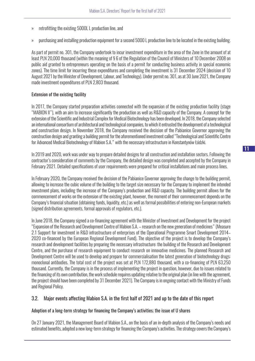- » retrofitting the existing 5000L L production line, and
- » purchasing and installing production equipment for a second 5000 L production line to be located in the existing building.

As part of permit no. 301, the Company undertook to incur investment expenditure in the area of the Zone in the amount of at least PLN 20,000 thousand (within the meaning of § 6 of the Regulation of the Council of Ministers of 10 December 2008 on public aid granted to entrepreneurs operating on the basis of a permit for conducting business activity in special economic zones). The time limit for incurring these expenditures and completing the investment is 31 December 2024 (decision of 10 August 2021 by the Minister of Development, Labour, and Technology). Under permit no. 301, as at 30 June 2021, the Company made investment expenditures of PLN 2,803 thousand.

#### Extension of the existing facility

In 2017, the Company started preparation activities connected with the expansion of the existing production facility (stage "MABION II"), with an aim to increase significantly the production as well as R&D capacity of the Company. A concept for the extension of the Scientific and Industrial Complex for Medical Biotechnology has been developed. In 2018, the Company selected an international consortium of architectural and technological companies, to which it entrusted the development of a technological and construction design. In November 2018, the Company received the decision of the Pabianice Governor approving the construction design and granting a building permit for the aforementioned investment called "Technological and Scientific Centre for Advanced Medical Biotechnology of Mabion S.A." with the necessary infrastructure in Konstantynów Łódzki.

In 2019 and 2020, work was under way to prepare detailed designs for all construction and installation sectors. Following the contractor's consideration of comments by the Company, the detailed design was completed and accepted by the Company in February 2021. Detailed specifications of user requirements were prepared for critical installations and main process lines.

In February 2020, the Company received the decision of the Pabianice Governor approving the change to the building permit, allowing to increase the cubic volume of the building to the target size necessary for the Company to implement the intended investment plans, including the increase of the Company's production and R&D capacity. The building permit allows for the commencement of works on the extension of the existing plant, however, the moment of their commencement depends on the Company's financial situation (obtaining funds, liquidity, etc.) as well as formal possibilities of entering non-European markets (signed distribution agreements, formal approvals of regulators, etc.).

In June 2018, the Company signed a co-financing agreement with the Minister of Investment and Development for the project "Expansion of the Research and Development Centre of Mabion S.A. – research on the new generation of medicines" (Measure 2.1 Support for investment in R&D infrastructure of enterprises of the Operational Programme Smart Development 2014– 2020 co-financed by the European Regional Development Fund). The objective of the project is to develop the Company's research and development facilities by preparing the necessary infrastructure: the building of the Research and Development Centre, and the purchase of research equipment to conduct research on innovative medicines. The planned Research and Development Centre will be used to develop and prepare for commercialisation the latest generation of biotechnology drugs: monoclonal antibodies. The total cost of the project was set at PLN 172,880 thousand, with a co-financing of PLN 63,250 thousand. Currently, the Company is in the process of implementing the project in question, however, due to issues related to the financing of its own contribution, the work schedule requires updating relative to the original plan (in line with the agreement, the project should have been completed by 31 December 2021). The Company is in ongoing contact with the Ministry of Funds and Regional Policy.

#### 3.2. Major events affecting Mabion S.A. in the first half of 2021 and up to the date of this report

#### Adoption of a long-term strategy for financing the Company's activities; the issue of U shares

On 27 January 2021, the Management Board of Mabion S.A., on the basis of an in-depth analysis of the Company's needs and estimated benefits, adopted a new long-term strategy for financing the Company's activities. The strategy covers the Company's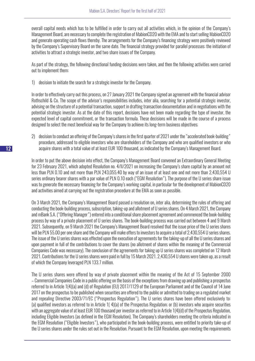overall capital needs which has to be fulfilled in order to carry out all activities which, in the opinion of the Company's Management Board, are necessary to complete the registration of MabionCD20 with the EMA and to start selling MabionCD20 and generate operating cash flows thereby. The arrangements for the Company's financing strategy were positively reviewed by the Company's Supervisory Board on the same date. The financial strategy provided for parallel processes: the initiation of activities to attract a strategic investor, and two share issues of the Company.

As part of the strategy, the following directional funding decisions were taken, and then the following activities were carried out to implement them:

1) decision to initiate the search for a strategic investor for the Company.

In order to effectively carry out this process, on 27 January 2021 the Company signed an agreement with the financial advisor Rothschild & Co. The scope of the advisor's responsibilities includes, inter alia, searching for a potential strategic investor, advising on the structure of a potential transaction, support in drafting transaction documentation and in negotiations with the potential strategic investor. As at the date of this report, decisions have not been made regarding the type of investor, the expected level of capital commitment, or the transaction formula. These decisions will be made in the course of a process designed to select the most beneficial way for the Company to achieve its long-term business objectives;

2) decision to conduct an offering of the Company's shares in the first quarter of 2021 under the "accelerated book-building" procedure, addressed to eligible investors who are shareholders of the Company and who are qualified investors or who acquire shares with a total value of at least EUR 100 thousand, as indicated by the Company's Management Board.

In order to put the above decision into effect, the Company's Management Board convened an Extraordinary General Meeting for 23 February 2021, which adopted Resolution no. 4/II/2021 on increasing the Company's share capital by an amount not less than PLN 0.10 and not more than PLN 243,055.40 by way of an issue of at least one and not more than 2,430,554 U series ordinary bearer shares with a par value of PLN 0.10 each ("EGM Resolution"). The purpose of the U series share issue was to generate the necessary financing for the Company's working capital, in particular for the development of MabionCD20 and activities aimed at carrying out the registration procedure at the EMA as soon as possible.

On 3 March 2021, the Company's Management Board passed a resolution on, inter alia, determining the rules of offering and conducting the book-building process, subscription, taking-up and allotment of U series shares. On 4 March 2021, the Company and mBank S.A. ("Offering Manager") entered into a conditional share placement agreement and commenced the book-building process by way of a private placement of U series shares. The book-building process was carried out between 4 and 9 March 2021. Subsequently, on 9 March 2021 the Company's Management Board resolved that the issue price of the U series shares will be PLN 55.00 per one share and the Company will make offers to investors to acquire a total of 2,430,554 U series shares. The issue of the U series shares was effected upon the execution of agreements for the taking-up of all the U series shares and upon payment in full of the contributions to cover the shares (no allotment of shares within the meaning of the Commercial Companies Code was necessary). The conclusion of the agreements for taking up U series shares was completed on 12 March 2021. Contributions for the U series shares were paid in full by 15 March 2021. 2,430,554 U shares were taken up, as a result of which the Company leveraged PLN 133.7 million.

The U series shares were offered by way of private placement within the meaning of the Act of 15 September 2000 – Commercial Companies Code in a public offering on the basis of the exceptions from drawing up and publishing a prospectus referred to in Article 1(4)(a) and (d) of Regulation (EU) 2017/1129 of the European Parliament and of the Council of 14 June 2017 on the prospectus to be published when securities are offered to the public or admitted to trading on a regulated market and repealing Directive 2003/71/EC ("Prospectus Regulation"). The U series shares have been offered exclusively to: (a) qualified investors as referred to in Article 1( 4)(a) of the Prospectus Regulation; or (b) investors who acquire securities with an aggregate value of at least EUR 100 thousand per investor as referred to in Article 1(4)(d) of the Prospectus Regulation, including Eligible Investors (as defined in the EGM Resolution). The Company's shareholders meeting the criteria indicated in the EGM Resolution ("Eligible Investors"), who participated in the book-building process, were entitled to priority take-up of the U series shares under the rules set out in the Resolution. Pursuant to the EGM Resolution, upon meeting the requirements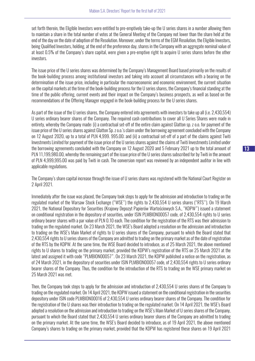set forth therein, the Eligible Investors were entitled to pre-emptively take-up the U series shares in a number allowing them to maintain a share in the total number of votes at the General Meeting of the Company not lower than the share held at the end of the day on the date of adoption of the Resolution. Moreover, under the terms of the EGM Resolution, the Eligible Investors, being Qualified Investors, holding, at the end of the preference day, shares in the Company with an aggregate nominal value of at least 0.5% of the Company's share capital, were given a pre-emptive right to acquire U series shares before the other investors.

The issue price of the U series shares was determined by the Company's Management Board based primarily on the results of the book-building process among institutional investors and taking into account all circumstances with a bearing on the determination of the issue price, including in particular the macroeconomic and economic environment, the current situation on the capital markets at the time of the book-building process for the U series shares, the Company's financial standing at the time of the public offering, current events and their impact on the Company's business prospects, as well as based on the recommendations of the Offering Manager engaged in the book-building process for the U series shares.

As part of the issue of the U series shares, the Company entered into agreements with investors to take up all (i.e. 2,430,554) U series ordinary bearer shares of the Company. The required cash contributions to cover all U Series Shares were made in entirety, whereby the Company made: (i) a contractual set-off of the entire claim against Glatton sp. z o.o. for payment of the issue price of the U series shares against Glatton Sp. z o.o.'s claim under the borrowing agreement concluded with the Company on 12 August 2020, up to a total of PLN 4,999. 995.00; and (ii) a contractual set-off of a part of the claims against Twiti Investments Limited for payment of the issue price of the U series shares against the claims of Twiti Investments Limited under the borrowing agreements concluded with the Company on 12 August 2020 and 5 February 2021 up to the total amount of PLN 11,199,980.00, whereby the remaining part of the issue price of the U series shares subscribed for by Twiti in the amount of PLN 4,999,995.00 was paid by Twiti in cash. The conversion report was reviewed by an independent auditor in line with applicable regulations.

The Company's share capital increase through the issue of U series shares was registered with the National Court Register on 2 April 2021.

Immediately after the issue was placed, the Company took steps to apply for the admission and introduction to trading on the regulated market of the Warsaw Stock Exchange ("WSE") the rights to 2,430,554 U series shares ("RTS"). On 19 March 2021, the National Depository for Securities (Krajowy Depozyt Papierów Wartościowych S.A., "KDPW") issued a statement on conditional registration in the depository of securities, under ISIN PLMBION00057 code, of 2,430,554 rights to U series ordinary bearer shares with a par value of PLN 0.10 each. The condition for the registration of the RTS was their admission to trading on the regulated market. On 23 March 2021, the WSE's Board adopted a resolution on the admission and introduction to trading on the WSE's Main Market of rights to U series shares of the Company, pursuant to which the Board stated that 2,430,554 rights to U series shares of the Company are admitted to trading on the primary market as of the date of registration of the RTS by the KDPW. At the same time, the WSE Board decided to introduce, as of 25 March 2021, the above mentioned rights to U shares to trading on the primary market, provided the KDPW's registration of the RTS on 25 March 2021 at the latest and assigned it with code "PLMBION00057". On 23 March 2021, the KDPW published a notice on the registration, as of 24 March 2021, in the depository of securities under ISIN PLMBION00057 code, of 2,430,554 rights to U series ordinary bearer shares of the Company. Thus, the condition for the introduction of the RTS to trading on the WSE primary market on 25 March 2021 was met.

Then, the Company took steps to apply for the admission and introduction of 2,430,554 U series shares of the Company to trading on the regulated market. On 14 April 2021, the KDPW issued a statement on the conditional registration in the securities depository under ISIN code PLMBION00016 of 2,430,554 U series ordinary bearer shares of the Company. The condition for the registration of the U shares was their introduction to trading on the regulated market. On 14 April 2021, the WSE's Board adopted a resolution on the admission and introduction to trading on the WSE's Main Market of U series shares of the Company, pursuant to which the Board stated that 2,430,554 U series ordinary bearer shares of the Company are admitted to trading on the primary market. At the same time, the WSE's Board decided to introduce, as of 19 April 2021, the above mentioned Company's shares to trading on the primary market, provided that the KDPW has registered these shares on 19 April 2021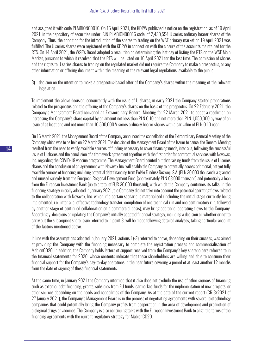and assigned it with code PLMBION00016. On 15 April 2021, the KDPW published a notice on the registration, as of 19 April 2021, in the depository of securities under ISIN PLMBION00016 code, of 2,430,554 U series ordinary bearer shares of the Company. Thus, the condition for the introduction of the shares to trading on the WSE primary market on 19 April 2021 was fulfilled. The U series shares were registered with the KDPW in connection with the closure of the accounts maintained for the RTS. On 14 April 2021, the WSE's Board adopted a resolution on determining the last day of listing the RTS on the WSE Main Market, pursuant to which it resolved that the RTS will be listed on 16 April 2021 for the last time. The admission of shares and the rights to U series shares to trading on the regulated market did not require the Company to make a prospectus, or any other information or offering document within the meaning of the relevant legal regulations, available to the public;

3) decision on the intention to make a prospectus-based offer of the Company's shares within the meaning of the relevant legislation.

To implement the above decision, concurrently with the issue of U shares, in early 2021 the Company started preparations related to the prospectus and the offering of the Company's shares on the basis of the prospectus. On 22 February 2021, the Company's Management Board convened an Extraordinary General Meeting for 22 March 2021 to adopt a resolution on increasing the Company's share capital by an amount not less than PLN 0.10 and not more than PLN 1,050,000 by way of an issue of at least one and not more than 10,500,000 V series ordinary bearer shares with a par value of PLN 0.10 each.

On 16 March 2021, the Management Board of the Company announced the cancellation of the Extraordinary General Meeting of the Company which was to be held on 22 March 2021. The decision of the Management Board of the Issuer to cancel the General Meeting resulted from the need to verify available sources of funding necessary to cover financing needs, inter alia, following the successful issue of U shares and the conclusion of a framework agreement together with the first order for contractual services with Novavax, Inc. regarding the COVID-19 vaccine programme. The Management Board pointed out that raising funds from the issue of U series shares and the conclusion of an agreement with Novavax Inc. will enable the Company to potentially access additional, not yet fully available sources of financing, including potential debt financing from Polski Fundusz Rozwoju S.A. (PLN 30,000 thousand), a granted and unused subsidy from the European Regional Development Fund (approximately PLN 63,000 thousand) and potentially a loan from the European Investment Bank (up to a total of EUR 30,000 thousand), with which the Company continues its talks. In the financing strategy initially adopted in January 2021, the Company did not take into account the potential operating flows related to the collaboration with Novavax, Inc. which, if a certain scenario is materialised (including the initial stage currently being implemented, i.e., inter alia: effective technology transfer, completion of one technical run and one confirmatory run, followed by another stage of continued collaboration on a commercial basis), may bring additional operating flows to the Company. Accordingly, decisions on updating the Company's initially adopted financial strategy, including a decision on whether or not to carry out the subsequent share issue referred to in point 3, will be made following detailed analyses, taking particular account of the factors mentioned above.

In line with the assumptions adopted in January 2021, actions 1)-3) referred to above, depending on their success, was aimed at providing the Company with the financing necessary to complete the registration process and commercialisation of MabionCD20. In addition, the Company holds letters of support received from the Company's key shareholders referred to in the financial statements for 2020, whose contents indicate that these shareholders are willing and able to continue their financial support for the Company's day-to-day operations in the near future covering a period of at least another 12 months from the date of signing of these financial statements.

At the same time, in January 2021 the Company informed that it also does not exclude the use of other sources of financing such as external debt financing, grants, subsidies from EU funds, earmarked funds for the implementation of new projects, or other sources depending on the needs and capabilities of the Company. As at the date of the current report (CR 3/2021 of 27 January 2021), the Company's Management Board is in the process of negotiating agreements with several biotechnology companies that could potentially bring the Company profits from cooperation in the area of development and production of biological drugs or vaccines. The Company is also continuing talks with the European Investment Bank to align the terms of the financing agreements with the current regulatory strategy for MabionCD20.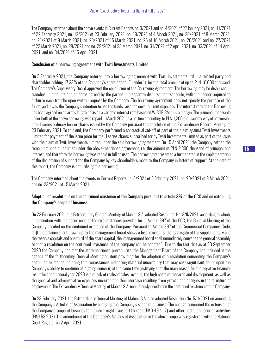The Company informed about the above events in Current Reports no. 3/2021 and no. 4/2021 of 27 January 2021, no. 11/2021 of 22 February 2021, no. 12/2021 of 23 February 2021, no. 19/2021 of 4 March 2021, no. 20/2021 of 8 March 2021, no. 21/2021 of 9 March 2021, no. 23/2021 of 15 March 2021, no. 25 of 16 March 2021, no. 26/2021 and no. 27/2021 of 22 March 2021, no. 28/2021 and no. 29/2021 of 23 March 2021, no. 31/2021 of 2 April 2021, no. 33/2021 of 14 April 2021, and no. 34/2021 of 15 April 2021.

#### Conclusion of a borrowing agreement with Twiti Investments Limited

On 5 February 2021, the Company entered into a borrowing agreement with Twiti Investments Ltd. – a related party and shareholder holding 17.33% of the Company's share capital ("Lender"), for the total amount of up to PLN 10,000 thousand. The Company's Supervisory Board approved the conclusion of the Borrowing Agreement. The borrowing may be disbursed in tranches, in amounts and on dates agreed by the parties in a separate disbursement schedule, with the Lender required to disburse each tranche upon written request by the Company. The borrowing agreement does not specify the purpose of the funds, and it was the Company's intention to use the funds raised to cover current expenses. The interest rate on the Borrowing has been agreed on an arm's length basis as a variable interest rate based on WIBOR 3M plus a margin. The principal receivable under both of the above borrowing was repaid in March 2021 in a portion amounting to PLN 1,200 thousand by way of conversion into U series ordinary bearer shares issued by the Company pursuant to a resolution of the Extraordinary General Meeting of 23 February 2021. To this end, the Company performed a contractual set-off of part of the claim against Twiti Investments Limited for payment of the issue price for the U series shares subscribed for by Twiti Investments Limited as part of the issue with the claim of Twiti Investments Limited under the said borrowing agreement. On 15 April 2021, the Company settled the remaining unpaid liabilities under the above-mentioned agreement, i.e. the amount of PLN 2,300 thousand of principal and interest, and therefore the borrowing was repaid in full as used. The borrowing represented a further step in the implementation of the declaration of support for the Company by key shareholders made to the Company in letters of support. At the date of this report, the Company is not utilising the borrowing.

The Company informed about the events in Current Reports no. 5/2021 of 5 February 2021, no. 20/2021 of 8 March 2021, and no. 23/2021 of 15 March 2021.

#### Adoption of resolutions on the continued existence of the Company pursuant to article 397 of the CCC and on extending the Company's scope of business

On 23 February 2021, the Extraordinary General Meeting of Mabion S.A. adopted Resolution No. 3/II/2021, according to which, in connection with the occurrence of the circumstances provided for in Article 397 of the CCC, the General Meeting of the Company decided on the continued existence of the Company. Pursuant to Article 397 of the Commercial Companies Code, "[i]f the balance sheet drawn up by the management board shows a loss exceeding the aggregate of the supplementary and the reserve capitals and one third of the share capital, the management board shall immediately convene the general assembly so that a resolution on the continued existence of the company can be adopted". Due to the fact that as at 30 September 2020 the Company has met the aforementioned prerequisite, the Management Board of the Company has included in the agenda of the forthcoming General Meeting an item providing for the adoption of a resolution concerning the Company's continued existence, pointing to circumstances indicating material uncertainty that may cast significant doubt upon the Company's ability to continue as a going concern, at the same time justifying that the main reason for the negative financial result for the financial year 2020 is the lack of realised sales revenue, the high costs of research and development, as well as the general and administrative expenses incurred and their increase resulting from growth and changes in the structure of employment. The Extraordinary General Meeting of Mabion S.A. unanimously decided on the continued existence of the Company.

On 23 February 2021, the Extraordinary General Meeting of Mabion S.A. also adopted Resolution No. 5/II/2021 on amending the Company's Articles of Association by changing the Company's scope of business. The change concerned the extension of the Company's scope of business to include freight transport by road (PKD 49.41.Z) and other postal and courier activities (PKD 53.20.Z). The amendment of the Company's Articles of Association in the above scope was registered with the National Court Register on 2 April 2021.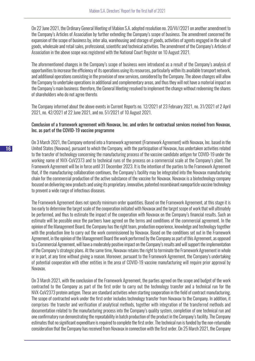On 22 June 2021, the Ordinary General Meeting of Mabion S.A. adopted resolution no. 20/VI//2021 on another amendment to the Company's Articles of Association by further extending the Company's scope of business. The amendment concerned the expansion of the scope of business by, inter alia, warehousing and storage of goods, activities of agents engaged in the sale of goods, wholesale and retail sales, professional, scientific and technical activities. The amendment of the Company's Articles of Association in the above scope was registered with the National Court Register on 10 August 2021.

The aforementioned changes in the Company's scope of business were introduced as a result of the Company's analysis of opportunities to increase the efficiency of its operations using its resources, particularly within its available transport network, and additional operations consisting in the provision of new services, considered by the Company. The above changes will allow the Company to undertake operations in additional and complementary areas, and thus they will not have a material impact on the Company's main business; therefore, the General Meeting resolved to implement the change without redeeming the shares of shareholders who do not agree thereto.

The Company informed about the above events in Current Reports no. 12/2021 of 23 February 2021, no. 31/2021 of 2 April 2021, no. 42/2021 of 22 June 2021, and no. 51/2021 of 10 August 2021.

#### Conclusion of a framework agreement with Novavax, Inc. and orders for contractual services received from Novavax, Inc. as part of the COVID-19 vaccine programme

On 3 March 2021, the Company entered into a framework agreement (Framework Agreement) with Novavax, Inc. based in the United States (Novavax), pursuant to which the Company, with the participation of Novavax, has undertaken activities related to the transfer of technology concerning the manufacturing process of the vaccine candidate antigen for COVID-19 under the working name of NVX-CoV2373 and to technical runs of the process on a commercial scale at the Company's plant. The Framework Agreement will be in force until 31 December 2023. It is the intention of the parties to the Framework Agreement that, if the manufacturing collaboration continues, the Company's facility may be integrated into the Novavax manufacturing chain for the commercial production of the active substance of the vaccine for Novavax. Novavax is a biotechnology company focused on delivering new products and using its proprietary, innovative, patented recombinant nanoparticle vaccine technology to prevent a wide range of infectious diseases.

The Framework Agreement does not specify minimum order quantities. Based on the Framework Agreement, at this stage it is too early to determine the target scale of the cooperation initiated with Novavax and the target scope of work that will ultimately be performed, and thus to estimate the impact of the cooperation with Novavax on the Company's financial results. Such an estimate will be possible once the partners have agreed on the terms and conditions of the commercial agreement. In the opinion of the Management Board, the Company has the right team, production experience, knowledge and technology together with the production line to carry out the work commissioned by Novavax. Based on the conditions set out in the Framework Agreement, in the opinion of the Management Board the work performed by the Company as part of this Agreement, as opposed to a Commercial Agreement, will have a moderately positive impact on the Company's results and will support the implementation of the Company's strategic plans. At the same time, Novavax retains the right to terminate the Framework Agreement in whole or in part, at any time without giving a reason. Moreover, pursuant to the Framework Agreement, the Company's undertaking of potential cooperation with other entities in the area of COVID-19 vaccine manufacturing will require prior approval by Novavax.

On 3 March 2021, with the conclusion of the Framework Agreement, the parties agreed on the scope and budget of the work contracted to the Company as part of the first order to carry out the technology transfer and a technical run for the NVX-CoV2373 protein antigen. These are standard activities when starting cooperation in the field of contract manufacturing. The scope of contracted work under the first order includes technology transfer from Novavax to the Company. In addition, it comprises: the transfer and verification of analytical methods, together with integration of the transferred methods and documentation related to the manufacturing process into the Company's quality system, completion of one technical run and one confirmatory run demonstrating the repeatability in batch production of the product in the Company's facility. The Company estimates that no significant expenditure is required to complete the first order. The technical run is funded by the non-returnable consideration that the Company has received from Novavax in connection with the first order. On 25 March 2021, the Company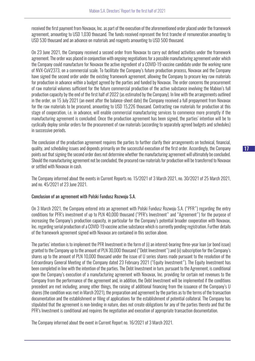received the first payment from Novavax, Inc. as part of the execution of the aforementioned order placed under the framework agreement, amounting to USD 1,030 thousand. The funds received represent the first tranche of remuneration amounting to USD 530 thousand and an advance on materials and reagents amounting to USD 500 thousand.

On 23 June 2021, the Company received a second order from Novavax to carry out defined activities under the framework agreement. The order was placed in conjunction with ongoing negotiations for a possible manufacturing agreement under which the Company could manufacture for Novavax the active ingredient of a COVID-19 vaccine candidate under the working name of NVX-CoV2373, on a commercial scale. To facilitate the Company's future production process, Novavax and the Company have signed the second order under the existing framework agreement, allowing the Company to procure key raw materials for production in advance within a budget agreed by the parties and funded by Novavax. The order concerns the procurement of raw material volumes sufficient for the future commercial production of the active substance involving the Mabion's full production capacity by the end of the first half of 2022 (as estimated by the Company). In line with the arrangements outlined in the order, on 15 July 2021 (an event after the balance-sheet date) the Company received a full prepayment from Novavax for the raw materials to be procured, amounting to USD 15,226 thousand. Contracting raw materials for production at this stage of cooperation, i.e. in advance, will enable commercial manufacturing services to commence more promptly if the manufacturing agreement is concluded. Once the production agreement has been signed, the parties' intention will be to cyclically deploy similar orders for the procurement of raw materials (according to separately agreed budgets and schedules) in successive periods.

The conclusion of the production agreement requires the parties to further clarify their arrangements on technical, financial, quality, and scheduling issues and depends primarily on the successful execution of the first order. Accordingly, the Company points out that signing the second order does not determine whether the manufacturing agreement will ultimately be concluded. Should the manufacturing agreement not be concluded, the procured raw materials for production will be transferred to Novavax or settled with Novavax in cash.

The Company informed about the events in Current Reports no. 15/2021 of 3 March 2021, no. 30/2021 of 25 March 2021, and no. 45/2021 of 23 June 2021.

#### Conclusion of an agreement with Polski Fundusz Rozwoju S.A.

On 3 March 2021, the Company entered into an agreement with Polski Fundusz Rozwoju S.A. ("PFR") regarding the entry conditions for PFR's investment of up to PLN 40,000 thousand ("PFR's Investment" and "Agreement") for the purpose of increasing the Company's production capacity, in particular for the Company's potential broader cooperation with Novavax, Inc. regarding serial production of a COVID-19 vaccine active substance which is currently pending registration. Further details of the framework agreement signed with Novavax are contained in this section above.

The parties' intention is to implement the PFR Investment in the form of (i) an interest-bearing three-year loan (or bond issue) granted to the Company up to the amount of PLN 30,000 thousand ("Debt Investment") and (ii) subscription for the Company's shares up to the amount of PLN 10,000 thousand under the issue of U series shares made pursuant to the resolution of the Extraordinary General Meeting of the Company dated 23 February 2021 ("Equity Investment"). The Equity Investment has been completed in line with the intention of the parties. The Debt Investment in turn, pursuant to the Agreement, is conditional upon the Company's execution of a manufacturing agreement with Novavax, Inc. providing for certain net revenues to the Company from the performance of the agreement and, in addition, the Debt Investment will be implemented if the conditions precedent are met including, among other things, the raising of additional financing from the issuance of the Company's U shares (the condition was met in March 2021), the preparation and agreement by the parties as to the terms of the transaction documentation and the establishment or filing of applications for the establishment of potential collateral. The Company has stipulated that the agreement is non-binding in nature, does not create obligations for any of the parties thereto and that the PFR's Investment is conditional and requires the negotiation and execution of appropriate transaction documentation.

The Company informed about the event in Current Report no. 16/2021 of 3 March 2021.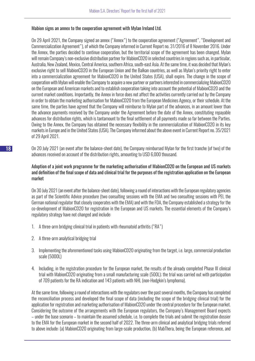#### Mabion signs an annex to the cooperation agreement with Mylan Ireland Ltd.

On 29 April 2021, the Company signed an annex ("Annex") to the cooperation agreement ("Agreement", "Development and Commercialization Agreement"), of which the Company informed in Current Report no. 31/2016 of 8 November 2016. Under the Annex, the parties decided to continue cooperation, but the territorial scope of the agreement has been changed. Mylan will remain Company's non-exclusive distribution partner for MabionCD20 in selected countries in regions such as, in particular, Australia, New Zealand, Mexico, Central America, southern Africa, south-east Asia. At the same time, it was decided that Mylan's exclusive right to sell MabionCD20 in the European Union and the Balkan countries, as well as Mylan's priority right to enter into a commercialization agreement for MabionCD20 in the United States (USA), shall expire. The change in the scope of cooperation with Mylan will enable the Company to acquire a new partner or partners interested in commercializing MabionCD20 on the European and American markets and to establish cooperation taking into account the potential of MabionCD20 and the current market conditions. Importantly, the Annex in force does not affect the activities currently carried out by the Company in order to obtain the marketing authorisation for MabionCD20 from the European Medicines Agency, or their schedule. At the same time, the parties have agreed that the Company will reimburse to Mylan part of the advances, in an amount lower than the advance payments received by the Company under the Agreement before the date of the Annex, constituting repayable advances for distribution rights, which is tantamount to the final settlement of all payments made so far between the Parties. Owing to the Annex, the Company has obtained the necessary flexibility in the commercialization of MabionCD20 in its key markets in Europe and in the United States (USA). The Company informed about the above event in Current Report no. 35/2021 of 29 April 2021.

On 20 July 2021 (an event after the balance-sheet date), the Company reimbursed Mylan for the first tranche (of two) of the advances received on account of the distribution rights, amounting to USD 6,000 thousand.

#### Adoption of a joint work programme for the marketing authorisation of MabionCD20 on the European and US markets and definition of the final scope of data and clinical trial for the purposes of the registration application on the European market

On 30 July 2021 (an event after the balance-sheet date), following a round of interactions with the European regulatory agencies as part of the Scientific Advice procedure (two consulting sessions with the EMA and two consulting sessions with PEI, the German national regulator that closely cooperates with the EMA) and with the FDA, the Company established a strategy for the co-development of MabionCD20 for registration in the European and US markets. The essential elements of the Company's regulatory strategy have not changed and include:

- 1. A three-arm bridging clinical trial in patients with rheumatoid arthritis ("RA")
- 2. A three-arm analytical bridging trial
- 3. Implementing the aforementioned tasks using MabionCD20 originating from the target, i.e. large, commercial production scale (5000L)
- 4. Including, in the registration procedure for the European market, the results of the already completed Phase III clinical trial with MabionCD20 originating from a small manufacturing scale (500L); the trial was carried out with participation of 709 patients for the RA indication and 143 patients with NHL (non-Hodgkin's lymphoma).

At the same time, following a round of interactions with the regulators over the past several months, the Company has completed the reconciliation process and developed the final scope of data (including the scope of the bridging clinical trial) for the application for registration and marketing authorisation of MabionCD20 under the central procedure for the European market. Considering the outcome of the arrangements with the European regulators, the Company's Management Board expects – under the base scenario – to maintain the assumed schedule, i.e. to complete the trials and submit the registration dossier to the EMA for the European market in the second half of 2022. The three-arm clinical and analytical bridging trials referred to above include: (a) MabionCD20 originating from large-scale production, (b) MabThera, being the European reference, and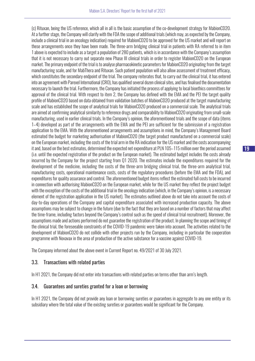(c) Rituxan, being the US reference, which all in all is the basic assumption of the co-development strategy for MabionCD20. At a further stage, the Company will clarify with the FDA the scope of additional trials (which may, as expected by the Company, include a clinical trial in an oncology indication) required for MabionCD20 to be approved for the US market and will report on these arrangements once they have been made. The three-arm bridging clinical trial in patients with RA referred to in item 1 above is expected to include as a target a population of 280 patients, which is in accordance with the Company's assumption that it is not necessary to carry out separate new Phase III clinical trials in order to register MabionCD20 on the European market. The primary endpoint of the trial is to analyse pharmacokinetic parameters for MabionCD20 originating from the target manufacturing scale, and for MabThera and Rituxan. Such patient population will also allow assessment of treatment efficacy, which constitutes the secondary endpoint of the trial. The company reiterates that, to carry out the clinical trial, it has entered into an agreement with Parexel International (CRO), has qualified several dozen clinical sites, and has finalised the documentation necessary to launch the trial. Furthermore, the Company has initiated the process of applying to local bioethics committees for approval of the clinical trial. With respect to item 2, the Company has defined with the EMA and the PEI the target quality profile of MabionCD20 based on data obtained from validation batches of MabionCD20 produced at the target manufacturing scale and has established the scope of analytical trials for MabionCD20 produced on a commercial scale. The analytical trials are aimed at confirming analytical similarity to reference drugs and comparability to MabionCD20 originating from small-scale manufacturing, used in earlier clinical trials. In the Company's opinion, the aforementioned trials and the scope of data (items 1–4) developed as part of the arrangements with the EMA and the PEI are sufficient for the submission of a registration application to the EMA. With the aforementioned arrangements and assumptions in mind, the Company's Management Board estimated the budget for marketing authorisation of MabionCD20 (the target product manufactured on a commercial scale) on the European market, including the costs of the trial arm in the RA indication for the US market and the costs accompanying it and, based on the best estimates, determined the expected net expenditure at PLN 105–115 million over the period assumed (i.e. until the expected registration of the product on the European market). The estimated budget includes the costs already incurred by the Company for the project starting from Q1 2020. The estimates include the expenditures required for the development of the medicine, including the costs of the three-arm bridging clinical trial, the three-arm analytical trial, manufacturing costs, operational maintenance costs, costs of the regulatory procedures (before the EMA and the FDA), and expenditures for quality assurance and control. The aforementioned budget items reflect the estimated full costs to be incurred in connection with authorising MabionCD20 on the European market, while for the US market they reflect the project budget with the exception of the costs of the additional trial in the oncology indication (which, in the Company's opinion, is a necessary element of the registration application in the US market). The estimates outlined above do not take into account the costs of day-to-day operations of the Company and capital expenditure associated with increased production capacity. The above assumptions may be subject to change in the future (due to the fact that they are based on a number of factors that may affect the time-frame, including factors beyond the Company's control such as the speed of clinical trial recruitment). Moreover, the assumptions made and actions performed do not guarantee the registration of the product. In planning the scope and timing of the clinical trial, the foreseeable constraints of the COVID-19 pandemic were taken into account. The activities related to the development of MabionCD20 do not collide with other projects run by the Company, including in particular the cooperation programme with Novavax in the area of production of the active substance for a vaccine against COVID-19.

The Company informed about the above event in Current Report no. 49/2021 of 30 July 2021.

#### 3.3. Transactions with related parties

In H1 2021, the Company did not enter into transactions with related parties on terms other than arm's length.

#### 3.4. Guarantees and sureties granted for a loan or borrowing

In H1 2021, the Company did not provide any loan or borrowing sureties or guarantees in aggregate to any one entity or its subsidiary where the total value of the existing sureties or guarantees would be significant for the Company.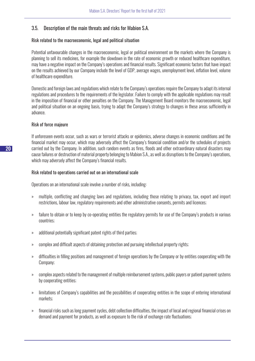## 3.5. Description of the main threats and risks for Mabion S.A.

#### Risk related to the macroeconomic, legal and political situation

Potential unfavourable changes in the macroeconomic, legal or political environment on the markets where the Company is planning to sell its medicines, for example the slowdown in the rate of economic growth or reduced healthcare expenditure, may have a negative impact on the Company's operations and financial results. Significant economic factors that have impact on the results achieved by our Company include the level of GDP, average wages, unemployment level, inflation level, volume of healthcare expenditure.

Domestic and foreign laws and regulations which relate to the Company's operations require the Company to adapt its internal regulations and procedures to the requirements of the legislator. Failure to comply with the applicable regulations may result in the imposition of financial or other penalties on the Company. The Management Board monitors the macroeconomic, legal and political situation on an ongoing basis, trying to adapt the Company's strategy to changes in these areas sufficiently in advance.

#### Risk of force majeure

If unforeseen events occur, such as wars or terrorist attacks or epidemics, adverse changes in economic conditions and the financial market may occur, which may adversely affect the Company's financial condition and/or the schedules of projects carried out by the Company. In addition, such random events as fires, floods and other extraordinary natural disasters may cause failures or destruction of material property belonging to Mabion S.A., as well as disruptions to the Company's operations, which may adversely affect the Company's financial results.

#### Risk related to operations carried out on an international scale

Operations on an international scale involve a number of risks, including:

- » multiple, conflicting and changing laws and regulations, including those relating to privacy, tax, export and import restrictions, labour law, regulatory requirements and other administrative consents, permits and licences;
- » failure to obtain or to keep by co-operating entities the regulatory permits for use of the Company's products in various countries;
- » additional potentially significant patent rights of third parties;
- » complex and difficult aspects of obtaining protection and pursuing intellectual property rights;
- » difficulties in filling positions and management of foreign operations by the Company or by entities cooperating with the Company;
- » complex aspects related to the management of multiple reimbursement systems, public payers or patient payment systems by cooperating entities;
- » limitations of Company's capabilities and the possibilities of cooperating entities in the scope of entering international markets;
- » financial risks such as long payment cycles, debt collection difficulties, the impact of local and regional financial crises on demand and payment for products, as well as exposure to the risk of exchange rate fluctuations;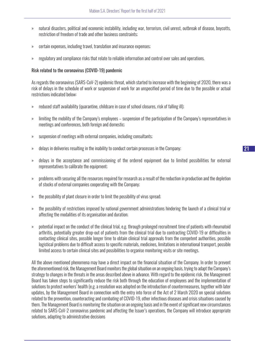- » natural disasters, political and economic instability, including war, terrorism, civil unrest, outbreak of disease, boycotts, restriction of freedom of trade and other business constraints;
- » certain expenses, including travel, translation and insurance expenses;
- » regulatory and compliance risks that relate to reliable information and control over sales and operations.

#### Risk related to the coronavirus (COVID-19) pandemic

As regards the coronavirus (SARS-CoV-2) epidemic threat, which started to increase with the beginning of 2020, there was a risk of delays in the schedule of work or suspension of work for an unspecified period of time due to the possible or actual restrictions indicated below:

- » reduced staff availability (quarantine, childcare in case of school closures, risk of falling ill);
- » limiting the mobility of the Company's employees suspension of the participation of the Company's representatives in meetings and conferences, both foreign and domestic;
- » suspension of meetings with external companies, including consultants;
- » delays in deliveries resulting in the inability to conduct certain processes in the Company;
- » delays in the acceptance and commissioning of the ordered equipment due to limited possibilities for external representatives to calibrate the equipment;
- » problems with securing all the resources required for research as a result of the reduction in production and the depletion of stocks of external companies cooperating with the Company;
- » the possibility of plant closure in order to limit the possibility of virus spread;
- » the possibility of restrictions imposed by national government administrations hindering the launch of a clinical trial or affecting the modalities of its organisation and duration;
- » potential impact on the conduct of the clinical trial, e.g. through prolonged recruitment time of patients with rheumatoid arthritis, potentially greater drop-out of patients from the clinical trial due to contracting COVID-19 or difficulties in contacting clinical sites, possible longer time to obtain clinical trial approvals from the competent authorities, possible logistical problems due to difficult access to specific materials, medicines, limitations in international transport, possible limited access to certain clinical sites and possibilities to organise monitoring visits or site meetings.

All the above mentioned phenomena may have a direct impact on the financial situation of the Company. In order to prevent the aforementioned risk, the Management Board monitors the global situation on an ongoing basis, trying to adapt the Company's strategy to changes in the threats in the areas described above in advance. With regard to the epidemic risk, the Management Board has taken steps to significantly reduce the risk both through the education of employees and the implementation of solutions to protect workers' health (e.g. a resolution was adopted on the introduction of countermeasures, together with later updates, by the Management Board in connection with the entry into force of the Act of 2 March 2020 on special solutions related to the prevention, counteracting and combating of COVID-19, other infectious diseases and crisis situations caused by them. The Management Board is monitoring the situation on an ongoing basis and in the event of significant new circumstances related to SARS-CoV-2 coronavirus pandemic and affecting the Issuer's operations, the Company will introduce appropriate solutions, adapting to administrative decisions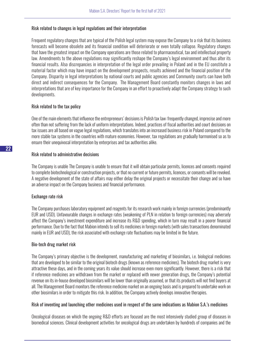#### Risk related to changes in legal regulations and their interpretation

Frequent regulatory changes that are typical of the Polish legal system may expose the Company to a risk that its business forecasts will become obsolete and its financial condition will deteriorate or even totally collapse. Regulatory changes that have the greatest impact on the Company operations are those related to pharmaceutical, tax and intellectual property law. Amendments to the above regulations may significantly reshape the Company's legal environment and thus alter its financial results. Also discrepancies in interpretation of the legal order prevailing in Poland and in the EU constitute a material factor which may have impact on the development prospects, results achieved and the financial position of the Company. Disparity in legal interpretations by national courts and public agencies and Community courts can have both direct and indirect consequences for the Company. The Management Board constantly monitors changes in laws and interpretations that are of key importance for the Company in an effort to proactively adapt the Company strategy to such developments.

#### Risk related to the tax policy

One of the main elements that influence the entrepreneurs' decisions is Polish tax law: frequently changed, imprecise and more often than not suffering from the lack of uniform interpretations. Indeed, practices of fiscal authorities and court decisions on tax issues are all based on vague legal regulations, which translates into an increased business risk in Poland compared to the more stable tax systems in the countries with mature economies. However, tax regulations are gradually harmonised so as to ensure their unequivocal interpretation by enterprises and tax authorities alike.

#### Risk related to administrative decisions

The Company is unable The Company is unable to ensure that it will obtain particular permits, licences and consents required to complete biotechnological or construction projects, or that no current or future permits, licences, or consents will be revoked. A negative development of the state of affairs may either delay the original projects or necessitate their change and so have an adverse impact on the Company business and financial performance.

#### Exchange rate risk

The Company purchases laboratory equipment and reagents for its research work mainly in foreign currencies (predominantly EUR and USD). Unfavourable changes in exchange rates (weakening of PLN in relation to foreign currencies) may adversely affect the Company's investment expenditure and increase its R&D spending, which in turn may result in a poorer financial performance. Due to the fact that Mabion intends to sell its medicines in foreign markets (with sales transactions denominated mainly in EUR and USD), the risk associated with exchange rate fluctuations may be limited in the future.

#### Bio-tech drug market risk

The Company's primary objective is the development, manufacturing and marketing of biosimilars, i.e. biological medicines that are developed to be similar to the original biotech drugs (known as reference medicines). The biotech drug market is very attractive these days, and in the coming years its value should increase even more significantly. However, there is a risk that if reference medicines are withdrawn from the market or replaced with newer generation drugs, the Company's potential revenue on its in-house developed biosimilars will be lower than originally assumed, or that its products will not find buyers at all. The Management Board monitors the reference medicine market on an ongoing basis and is prepared to undertake work on other biosimilars in order to mitigate this risk. In addition, the Company actively develops innovative therapies.

#### Risk of inventing and launching other medicines used in respect of the same indications as Mabion S.A.'s medicines

Oncological diseases on which the ongoing R&D efforts are focused are the most intensively studied group of diseases in biomedical sciences. Clinical development activities for oncological drugs are undertaken by hundreds of companies and the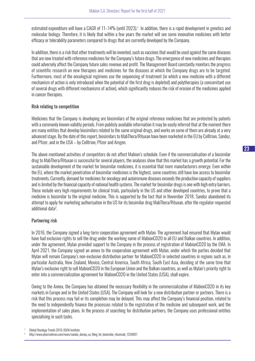estimated expenditure will have a CAGR of 11–14% (until 2023).<sup>1</sup> In addition, there is a rapid development in genetics and molecular biology. Therefore, it is likely that within a few years the market will see some innovative medicines with better efficacy or tolerability parameters compared to drugs that are currently developed by the Company.

In addition, there is a risk that other treatments will be invented, such as vaccines that would be used against the same diseases that are now treated with reference medicines for the Company's future drugs. The emergence of new medicines and therapies could adversely affect the Company future sales revenue and profit. The Management Board constantly monitors the progress of scientific research on new therapies and medicines for the diseases at which the Company drugs are to be targeted. Furthermore, most of the oncological regimens use the sequencing of treatment (in which a new medicine with a different mechanism of action is only introduced when the potential of the first drug is depleted) and polytherapies (a concomitant use of several drugs with different mechanisms of action), which significantly reduces the risk of erosion of the medicines applied in cancer therapies.

#### Risk relating to competition

Medicines that the Company is developing are biosimilars of the original reference medicines that are protected by patents with a commonly known validity periods. From publicly available information it may be easily inferred that at the moment there are many entities that develop biosimilars related to the same original drugs, and works on some of them are already at a very advanced stage. By the date of this report, biosimilars to MabThera/Rituxan have been marketed in the EU by Celltrion, Sandoz, and Pfizer, and in the USA – by Celltrion, Pfizer and Amgen.

The above mentioned activities of competitors do not affect Mabion's schedule. Even if the commercialisation of a biosimilar drug to MabThera/Rituxan is successful for several players, the analyses show that this market has a growth potential. For the sustainable development of the market for biosimilar medicines, it is essential that more manufacturers emerge. Even within the EU, where the market penetration of biosimilar medicines is the highest, some countries still have low access to biosimilar treatments. Currently, demand for medicines for oncology and autoimmune diseases exceeds the production capacity of suppliers and is limited by the financial capacity of national health systems. The market for biosimilar drugs is one with high entry barriers. These include very high requirements for clinical trials, particularly in the US and other developed countries, to prove that a medicine is biosimilar to the original medicine. This is supported by the fact that in November 2018, Sandoz abandoned its attempt to apply for marketing authorisation in the US for its biosimilar drug MabThera/Rituxan, after the regulator requested additional data2 .

#### Partnering risk

In 2016, the Company signed a long-term cooperation agreement with Mylan. The agreement had ensured that Mylan would have had exclusive rights to sell the drug under the working name of MabionCD20 in all EU and Balkan countries. In addition, under the agreement, Mylan provided support to the Company in the process of registration of MabionCD20 by the EMA. In April 2021, the Company signed an annex to the cooperation agreement with Mylan, under which the parties decided that Mylan will remain Company's non-exclusive distribution partner for MabionCD20 in selected countries in regions such as, in particular Australia, New Zealand, Mexico, Central America, South Africa, South East Asia, deciding at the same time that Mylan's exclusive right to sell MabionCD20 in the European Union and the Balkan countries, as well as Mylan's priority right to enter into a commercialization agreement for MabionCD20 in the United States (USA), shall expire.

Owing to the Annex, the Company has obtained the necessary flexibility in the commercialization of MabionCD20 in its key markets in Europe and in the United States (USA). The Company will look for a new distribution partner or partners. There is a risk that this process may fail or its completion may be delayed. This may affect the Company's financial position, related to the need to independently finance the processes related to the registration of the medicine and subsequent work, and the implementation of sales plans. In the process of searching for distribution partners, the Company uses professional entities specialising in such tasks.

<sup>1</sup> Global Oncology Trends 2019, IQVIA Institute

<sup>2</sup> http://www.pharmatimes.com/news/sandoz\_dumps\_us\_filing\_for\_biosimilar\_rituximab\_1258681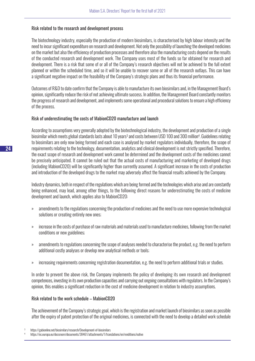#### Risk related to the research and development process

The biotechnology industry, especially the production of modern biosimilars, is characterised by high labour intensity and the need to incur significant expenditure on research and development. Not only the possibility of launching the developed medicines on the market but also the efficiency of production processes and therefore also the manufacturing costs depend on the results of the conducted research and development work. The Company uses most of the funds so far obtained for research and development. There is a risk that some of or all of the Company's research objectives will not be achieved to the full extent planned or within the scheduled time, and so it will be unable to recover some or all of the research outlays. This can have a significant negative impact on the feasibility of the Company's strategic plans and thus its financial performance.

Outcomes of R&D to date confirm that the Company is able to manufacture its own biosimilars and, in the Management Board's opinion, significantly reduce the risk of not achieving ultimate success. In addition, the Management Board constantly monitors the progress of research and development, and implements some operational and procedural solutions to ensure a high efficiency of the process.

#### Risk of underestimating the costs of MabionCD20 manufacture and launch

According to assumptions very generally adopted by the biotechnological industry, the development and production of a single biosimilar which meets global standards lasts about 10 years<sup>3</sup> and costs between USD 100 and 300 million<sup>4</sup>. Guidelines relating to biosimilars are only now being formed and each case is analysed by market regulators individually, therefore, the scope of requirements relating to the technology, documentation, analytics and clinical development is not strictly specified. Therefore, the exact scope of research and development work cannot be determined and the development costs of the medicines cannot be precisely anticipated. It cannot be ruled out that the actual costs of manufacturing and marketing of developed drugs (including MabionCD20) will be significantly higher than currently assumed. A significant increase in the costs of production and introduction of the developed drugs to the market may adversely affect the financial results achieved by the Company.

Industry dynamics, both in respect of the regulations which are being formed and the technologies which arise and are constantly being enhanced, may lead, among other things, to the following direct reasons for underestimating the costs of medicine development and launch, which applies also to MabionCD20:

- » amendments to the regulations concerning the production of medicines and the need to use more expensive technological solutions or creating entirely new ones;
- » increase in the costs of purchase of raw materials and materials used to manufacture medicines, following from the market conditions or new guidelines;
- » amendments to regulations concerning the scope of analyses needed to characterise the product, e.g. the need to perform additional costly analyses or develop new analytical methods or tools;
- » increasing requirements concerning registration documentation, e.g. the need to perform additional trials or studies.

In order to prevent the above risk, the Company implements the policy of developing its own research and development competences, investing in its own production capacities and carrying out ongoing consultations with regulators. In the Company's opinion, this enables a significant reduction in the cost of medicine development in relation to industry assumptions.

#### Risk related to the work schedule – MabionCD20

The achievement of the Company's strategic goal, which is the registration and market launch of biosimilars as soon as possible after the expiry of patent protection of the original medicines, is connected with the need to develop a detailed work schedule

<sup>3</sup> https://gabionline.net/biosimilars/research/Development-of-biosimilars

<sup>4</sup> https://ec.europa.eu/docsroom/documents/38461/attachments/1/translations/en/renditions/native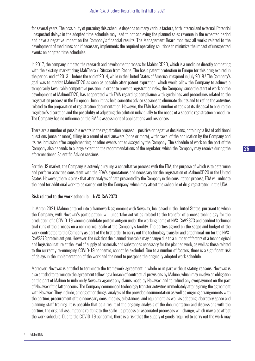for several years. The possibility of pursuing this schedule depends on many various factors, both internal and external. Potential unexpected delays in the adopted time schedule may lead to not achieving the planned sales revenue in the expected period and have a negative impact on the Company's financial results. The Management Board monitors all works related to the development of medicines and if necessary implements the required operating solutions to minimize the impact of unexpected events on adopted time schedules.

In 2017, the company initiated the research and development process for MabionCD20, which is a medicine directly competing with the existing market drug MabThera / Rituxan from Roche. The basic patent protection in Europe for this drug expired in the period: end of 2013 – before the end of 2014, while in the United States of America, it expired in July 2018.5 The Company's goal was to market MabionCD20 as soon as possible after patent expiration, which would allow the Company to achieve a temporarily favourable competitive position. In order to prevent registration risks, the Company, since the start of work on the development of MabionCD20, has cooperated with EMA regarding compliance with guidelines and procedures related to the registration process in the European Union. It has held scientific advice sessions to eliminate doubts and to refine the activities related to the preparation of registration documentation. However, the EMA has a number of tools at its disposal to ensure the regulator's discretion and the possibility of adjusting the solution individually to the needs of a specific registration procedure. The Company has no influence on the EMA's assessment of applications and responses.

There are a number of possible events in the registration process – positive or negative decisions, obtaining a list of additional questions (once or more), filling in a round of oral answers (once or more), withdrawal of the application by the Company and its resubmission after supplementing, or other events not envisaged by the Company. The schedule of work on the part of the Company also depends to a large extent on the recommendations of the regulator, which the Company may receive during the aforementioned Scientific Advice sessions.

For the US market, the Company is actively pursuing a consultative process with the FDA, the purpose of which is to determine and perform activities consistent with the FDA's expectations and necessary for the registration of MabionCD20 in the United States. However, there is a risk that after analysis of data presented by the Company in the consultation process, FDA will indicate the need for additional work to be carried out by the Company, which may affect the schedule of drug registration in the USA.

#### Risk related to the work schedule – NVX-CoV2373

In March 2021, Mabion entered into a framework agreement with Novavax, Inc. based in the United States, pursuant to which the Company, with Novavax's participation, will undertake activities related to the transfer of process technology for the production of a COVID-19 vaccine candidate protein antigen under the working name of NVX-CoV2373 and conduct technical trial runs of the process on a commercial scale at the Company's facility. The parties agreed on the scope and budget of the work contracted to the Company as part of the first order to carry out the technology transfer and a technical run for the NVX-CoV2373 protein antigen. However, the risk that the planned timetable may change due to a number of factors of a technological and logistical nature at the level of supply of materials and substances necessary for the planned work, as well as those related to the currently re-emerging COVID-19 pandemic, cannot be excluded. Due to a number of factors, there is a significant risk of delays in the implementation of the work and the need to postpone the originally adopted work schedule.

Moreover, Novavax is entitled to terminate the framework agreement in whole or in part without stating reasons. Novavax is also entitled to terminate the agreement following a breach of contractual provisions by Mabion, which may involve an obligation on the part of Mabion to indemnify Novavax against any claims made by Novavax, and to refund any overpayment on the part of Novavax if the latter occurs. The Company commenced technology transfer activities immediately after signing the agreement with Novavax. They include, among other things, analysis of the provided documentation as well as ongoing arrangements with the partner, procurement of the necessary consumables, substances, and equipment, as well as adapting laboratory space and planning staff training. It is possible that as a result of the ongoing analysis of the documentation and discussions with the partner, the original assumptions relating to the scale-up process or associated processes will change, which may also affect the work schedule. Due to the COVID-19 pandemic, there is a risk that the supply of goods required to carry out the work may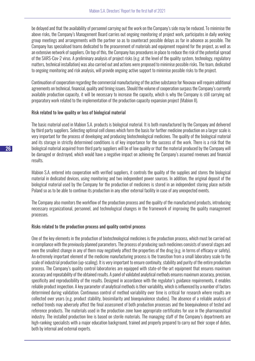be delayed and that the availability of personnel carrying out the work on the Company's side may be reduced. To minimise the above risks, the Company's Management Board carries out ongoing monitoring of project work, participates in daily working group meetings and arrangements with the partner so as to counteract possible delays as far in advance as possible. The Company has specialised teams dedicated to the procurement of materials and equipment required for the project, as well as an extensive network of suppliers. On top of this, the Company has procedures in place to reduce the risk of the potential spread of the SARS-Cov-2 virus. A preliminary analysis of project risks (e.g. at the level of the quality system, technology, regulatory matters, technical installation) was also carried out and actions were proposed to minimise possible risks. The team, dedicated to ongoing monitoring and risk analysis, will provide ongoing active support to minimise possible risks to the project.

Continuation of cooperation regarding the commercial manufacturing of the active substance for Novavax will require additional agreements on technical, financial, quality and timing issues. Should the volume of cooperation surpass the Company's currently available production capacity, it will be necessary to increase the capacity, which is why the Company is still carrying out preparatory work related to the implementation of the production capacity expansion project (Mabion II).

#### Risk related to low quality or loss of biological material

The basic material used in Mabion S.A. products is biological material. It is both manufactured by the Company and delivered by third party suppliers. Selecting optimal cell clones which form the basis for further medicine production on a larger scale is very important for the process of developing and producing biotechnological medicines. The quality of the biological material and its storage in strictly determined conditions is of key importance for the success of the work. There is a risk that the biological material acquired from third party suppliers will be of low quality or that the material produced by the Company will be damaged or destroyed, which would have a negative impact on achieving the Company's assumed revenues and financial results.

Mabion S.A. entered into cooperation with verified suppliers, it controls the quality of the supplies and stores the biological material in dedicated devices, using monitoring and two independent power sources. In addition, the original deposit of the biological material used by the Company for the production of medicines is stored in an independent storing place outside Poland so as to be able to continue its production in any other external facility in case of any unexpected events.

The Company also monitors the workflow of the production process and the quality of the manufactured products, introducing necessary organizational, personnel, and technological changes in the framework of improving the quality management processes.

#### Risks related to the production process and quality control process

One of the key elements in the production of biotechnological medicines is the production process, which must be carried out in compliance with the previously planned parameters. The process of producing such medicines consists of several stages and even the smallest change in any of them may negatively affect the properties of the drug (e.g. in terms of efficacy or safety). An extremely important element of the medicine manufacturing process is the transition from a small laboratory scale to the scale of industrial production (up-scaling). It is very important to ensure continuity, stability and purity of the entire production process. The Company's quality control laboratories are equipped with state-of-the-art equipment that ensures maximum accuracy and repeatability of the obtained results. A panel of validated analytical methods ensures maximum accuracy, precision, specificity and reproducibility of the results. Designed in accordance with the regulator's guidance requirements, it enables reliable product inspection. A key parameter of analytical methods is their variability, which is influenced by a number of factors determined during validation. Continuous control of method variability over time is critical for research where results are collected over years (e.g. product stability, biosimilarity and bioequivalence studies). The absence of a reliable analysis of method trends may adversely affect the final assessment of both production processes and the bioequivalence of tested and reference products. The materials used in the production zone have appropriate certificates for use in the pharmaceutical industry. The installed production line is based on sterile materials. The managing staff of the Company's departments are high-ranking specialists with a major education background, trained and properly prepared to carry out their scope of duties, both by internal and external experts.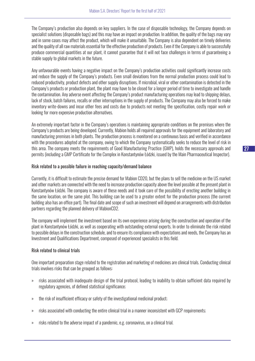The Company's production also depends on key suppliers. In the case of disposable technology, the Company depends on specialist solutions (disposable bags) and this may have an impact on production. In addition, the quality of the bags may vary and in some cases may affect the product, which will make it unsuitable. The Company is also dependent on timely deliveries and the quality of all raw materials essential for the effective production of products. Even if the Company is able to successfully produce commercial quantities at our plant, it cannot guarantee that it will not face challenges in terms of guaranteeing a stable supply to global markets in the future.

Any unfavourable events having a negative impact on the Company's production activities could significantly increase costs and reduce the supply of the Company's products. Even small deviations from the normal production process could lead to reduced productivity, product defects and other supply disruptions. If microbial, viral or other contamination is detected in the Company's products or production plant, the plant may have to be closed for a longer period of time to investigate and handle the contamination. Any adverse event affecting the Company's product manufacturing operations may lead to shipping delays, lack of stock, batch failures, recalls or other interruptions in the supply of products. The Company may also be forced to make inventory write-downs and incur other fees and costs due to products not meeting the specification, costly repair work or looking for more expensive production alternatives.

An extremely important factor in the Company's operations is maintaining appropriate conditions on the premises where the Company's products are being developed. Currently, Mabion holds all required approvals for the equipment and laboratory and manufacturing premises in both plants. The production process is monitored on a continuous basis and verified in accordance with the procedures adopted at the company, owing to which the Company systematically seeks to reduce the level of risk in this area. The company meets the requirements of Good Manufacturing Practice (GMP), holds the necessary approvals and permits (including a GMP Certificate for the Complex in Konstantynów Łódzki, issued by the Main Pharmaceutical Inspector).

#### Risk related to a possible failure in reaching capacity/demand balance

Currently, it is difficult to estimate the precise demand for Mabion CD20, but the plans to sell the medicine on the US market and other markets are connected with the need to increase production capacity above the level possible at the present plant in Konstantynów Łódzki. The company is aware of these needs and it took care of the possibility of erecting another building in the same location, on the same plot. This building can be used to a greater extent for the production process (the current building also has an office part). The final date and scope of such an investment will depend on arrangements with distribution partners regarding the planned delivery of MabionCD2.

The company will implement the investment based on its own experience arising during the construction and operation of the plant in Konstantynów Łódzki, as well as cooperating with outstanding external experts. In order to eliminate the risk related to possible delays in the construction schedule, and to ensure its compliance with expectations and needs, the Company has an Investment and Qualifications Department, composed of experienced specialists in this field.

#### Risk related to clinical trials

One important preparation stage related to the registration and marketing of medicines are clinical trials. Conducting clinical trials involves risks that can be grouped as follows:

- » risks associated with inadequate design of the trial protocol, leading to inability to obtain sufficient data required by regulatory agencies, of defined statistical significance;
- » the risk of insufficient efficacy or safety of the investigational medicinal product;
- » risks associated with conducting the entire clinical trial in a manner inconsistent with GCP requirements;
- » risks related to the adverse impact of a pandemic, e.g. coronavirus, on a clinical trial.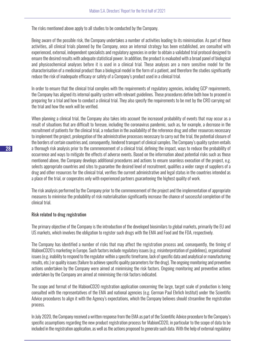The risks mentioned above apply to all studies to be conducted by the Company.

Being aware of the possible risk, the Company undertakes a number of activities leading to its minimisation. As part of these activities, all clinical trials planned by the Company, once an internal strategy has been established, are consulted with experienced, external, independent specialists and regulatory agencies in order to obtain a validated trial protocol designed to ensure the desired results with adequate statistical power. In addition, the product is evaluated with a broad panel of biological and physicochemical analyses before it is used in a clinical trial. These analyses are a more sensitive model for the characterisation of a medicinal product than a biological model in the form of a patient, and therefore the studies significantly reduce the risk of inadequate efficacy or safety of a Company's product used in a clinical trial.

In order to ensure that the clinical trial complies with the requirements of regulatory agencies, including GCP requirements, the Company has aligned its internal quality system with relevant guidelines. These procedures define both how to proceed in preparing for a trial and how to conduct a clinical trial. They also specify the requirements to be met by the CRO carrying out the trial and how the work will be verified.

When planning a clinical trial, the Company also takes into account the increased probability of events that may occur as a result of situations that are difficult to foresee, including the coronavirus pandemic, such as, for example, a decrease in the recruitment of patients for the clinical trial, a reduction in the availability of the reference drug and other resources necessary to implement the project, prolongation of the administrative processes necessary to carry out the trial, the potential closure of the borders of certain countries and, consequently, hindered transport of clinical samples. The Company's quality system entails a thorough risk analysis prior to the commencement of a clinical trial, defining the impact, ways to reduce the probability of occurrence and ways to mitigate the effects of adverse events. Based on the information about potential risks such as those mentioned above, the Company develops additional procedures and actions to ensure seamless execution of the project, e.g. selects appropriate countries and sites to guarantee the desired level of recruitment, qualifies a wider range of suppliers of a drug and other resources for the clinical trial, verifies the current administrative and legal status in the countries intended as a place of the trial, or cooperates only with experienced partners guaranteeing the highest quality of work.

The risk analysis performed by the Company prior to the commencement of the project and the implementation of appropriate measures to minimise the probability of risk materialisation significantly increase the chance of successful completion of the clinical trial.

#### Risk related to drug registration

The primary objective of the Company is the introduction of the developed biosimilars to global markets, primarily the EU and US markets, which involves the obligation to register such drugs with the EMA and Food and the FDA, respectively.

The Company has identified a number of risks that may affect the registration process and, consequently, the timing of MabionCD20's marketing in Europe. Such factors include regulatory issues (e.g. misinterpretation of guidelines), organisational issues (e.g. inability to respond to the regulator within a specific timeframe, lack of specific data and analytical or manufacturing results, etc.) or quality issues (failure to achieve specific quality parameters for the drug). The ongoing monitoring and preventive actions undertaken by the Company were aimed at minimising the risk factors. Ongoing monitoring and preventive actions undertaken by the Company are aimed at minimising the risk factors indicated.

The scope and format of the MabionCD20 registration application concerning the large, target scale of production is being consulted with the representatives of the EMA and national agencies (e.g. German Paul Ehrlich Institut) under the Scientific Advice procedures to align it with the Agency's expectations, which the Company believes should streamline the registration process.

In July 2020, the Company received a written response from the EMA as part of the Scientific Advice procedure to the Company's specific assumptions regarding the new product registration process for MabionCD20, in particular to the scope of data to be included in the registration application, as well as the actions proposed to generate such data. With the help of external regulatory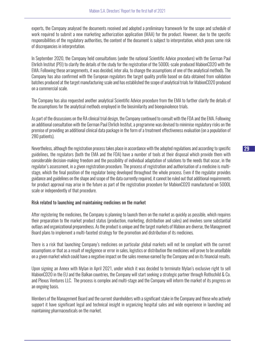experts, the Company analysed the documents received and adopted a preliminary framework for the scope and schedule of work required to submit a new marketing authorization application (MAA) for the product. However, due to the specific responsibilities of the regulatory authorities, the content of the document is subject to interpretation, which poses some risk of discrepancies in interpretation.

In September 2020, the Company held consultations (under the national Scientific Advice procedure) with the German Paul Ehrlich Institut (PEI) to clarify the details of the study for the registration of the 5000L-scale produced MabionCD20 with the EMA; Following these arrangements, it was decided, inter alia, to change the assumptions of one of the analytical methods. The Company has also confirmed with the European regulators the target quality profile based on data obtained from validation batches produced at the target manufacturing scale and has established the scope of analytical trials for MabionCD20 produced on a commercial scale.

The Company has also requested another analytical Scientific Advice procedure from the EMA to further clarify the details of the assumptions for the analytical methods employed in the biosimilarity and bioequivalence trials.

As part of the discussions on the RA clinical trial design, the Company continued to consult with the FDA and the EMA. Following an additional consultation with the German Paul Ehrlich Institut, a programme was devised to minimise regulatory risks on the premise of providing an additional clinical data package in the form of a treatment effectiveness evaluation (on a population of 280 patients).

Nevertheless, although the registration process takes place in accordance with the adopted regulations and according to specific guidelines, the regulators (both the EMA and the FDA) have a number of tools at their disposal which provide them with considerable decision-making freedom and the possibility of individual adaptation of solutions to the needs that occur, in the regulator's assessment, in a given registration procedure. The process of registration and authorisation of a medicine is multistage, which the final position of the regulator being developed throughout the whole process. Even if the regulator provides guidance and guidelines on the shape and scope of the data currently required, it cannot be ruled out that additional requirements for product approval may arise in the future as part of the registration procedure for MabionCD20 manufactured on 5000L scale or independently of that procedure.

#### Risk related to launching and maintaining medicines on the market

After registering the medicines, the Company is planning to launch them on the market as quickly as possible, which requires their preparation to the market product status (production, marketing, distribution and sales) and involves some substantial outlays and organizational preparedness. As the product is unique and the target markets of Mabion are diverse, the Management Board plans to implement a multi-faceted strategy for the promotion and distribution of its medicines.

There is a risk that launching Company's medicines on particular global markets will not be compliant with the current assumptions or that as a result of negligence or error in sales, logistics or distribution the medicines will prove to be unsellable on a given market which could have a negative impact on the sales revenue earned by the Company and on its financial results.

Upon signing an Annex with Mylan in April 2021, under which it was decided to terminate Mylan's exclusive right to sell MabionCD20 in the EU and the Balkan countries, the Company will start seeking a strategic partner through Rothschild & Co. and Plexus Ventures LLC. The process is complex and multi-stage and the Company will inform the market of its progress on an ongoing basis.

Members of the Management Board and the current shareholders with a significant stake in the Company and those who actively support it have significant legal and technical insight in organizing hospital sales and wide experience in launching and maintaining pharmaceuticals on the market.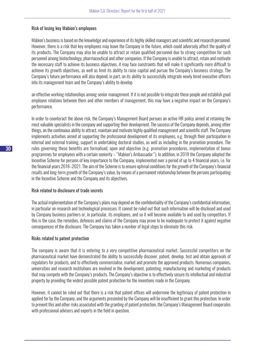#### Risk of losing key Mabion's employees

Mabion's business is based on the knowledge and experience of its highly skilled managers and scientific and research personnel. However, there is a risk that key employees may leave the Company in the future, which could adversely affect the quality of its products. The Company may also be unable to attract or retain qualified personnel due to strong competition for such personnel among biotechnology, pharmaceutical and other companies. If the Company is unable to attract, retain and motivate the necessary staff to achieve its business objectives, it may face constraints that will make it significantly more difficult to achieve its growth objectives, as well as limit its ability to raise capital and pursue the Company's business strategy. The Company's future performance will also depend, in part, on its ability to successfully integrate newly hired executive officers into its management team and the Company's ability to develop

an effective working relationships among senior management. If it is not possible to integrate these people and establish good employee relations between them and other members of management, this may have a negative impact on the Company's performance.

In order to counteract the above risk, the Company's Management Board pursues an active HR policy aimed at retaining the most valuable specialists in the company and supporting their development. The success of the Company depends, among other things, on the continuous ability to attract, maintain and motivate highly qualified management and scientific staff. The Company implements activities aimed at supporting the professional development of its employees, e.g. through their participation in internal and external training, support in undertaking doctoral studies, as well as including in the promotion procedure. The rules governing these benefits are formalised, open and objective (e.g. promotion procedures, implementation of bonus programmes for employees with a certain seniority – "Mabion's Ambassador"). In addition, in 2018 the Company adopted the Incentive Scheme for persons of key importance to the Company, implemented over a period of up to 4 financial years, i.e. for the financial years 2018–2021. The aim of the Scheme is to ensure optimal conditions for the growth of the Company's financial results and long-term growth of the Company's value, by means of a permanent relationship between the persons participating in the Incentive Scheme and the Company and its objectives.

#### Risk related to disclosure of trade secrets

The actual implementation of the Company's plans may depend on the confidentiality of the Company's confidential information, in particular on research and technological processes. It cannot be ruled out that such information will be disclosed and used by Company business partners or, in particular, its employees, and so it will become available to and used by competitors. If this is the case, the remedies, defences and claims of the Company may prove to be inadequate to protect it against negative consequences of the disclosure. The Company has taken a number of legal steps to eliminate this risk.

#### Risks related to patent protection

The company is aware that it is entering to a very competitive pharmaceutical market. Successful competitors on the pharmaceutical market have demonstrated the ability to successfully discover, patent, develop, test and obtain approvals of regulators for products, and to effectively commercialise, market and promote the approved products. Numerous companies, universities and research institutions are involved in the development, patenting, manufacturing and marketing of products that may compete with the Company's products. The Company's objective is to effectively secure its intellectual and industrial property by providing the widest possible patent protection for the inventions made in the Company.

However, it cannot be ruled out that there is a risk that patent offices will undermine the legitimacy of patent protection in applied for by the Company, and the arguments presented by the Company will be insufficient to grant this protection. In order to prevent this and other risks associated with the granting of patent protection, the Company's Management Board cooperates with professional advisers and experts in the field in question.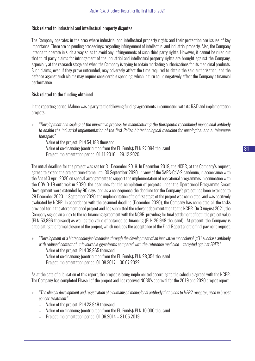#### Risk related to industrial and intellectual property disputes

The Company operates in the area where industrial and intellectual property rights and their protection are issues of key importance. There are no pending proceedings regarding infringement of intellectual and industrial property. Also, the Company intends to operate in such a way so as to avoid any infringements of such third party rights. However, it cannot be ruled out that third party claims for infringement of the industrial and intellectual property rights are brought against the Company, especially at the research stage and when the Company is trying to obtain marketing authorisations for its medicinal products. Such claims, even if they prove unfounded, may adversely affect the time required to obtain the said authorisation, and the defence against such claims may require considerable spending, which in turn could negatively affect the Company's financial performance.

#### Risk related to the funding obtained

In the reporting period, Mabion was a party to the following funding agreements in connection with its R&D and implementation projects:

- » *"Development and scaling of the innovative process for manufacturing the therapeutic recombined monoclonal antibody to enable the industrial implementation of the first Polish biotechnological medicine for oncological and autoimmune therapies"*
	- Value of the project: PLN 54,188 thousand
	- Value of co-financing (contribution from the EU Funds): PLN 27,094 thousand
	- Project implementation period: 01.11.2016 29.12.2020.

The initial deadline for the project was set for 31 December 2019. In December 2019, the NCBR, at the Company's request, agreed to extend the project time-frame until 30 September 2020. In view of the SARS-CoV-2 pandemic, in accordance with the Act of 3 April 2020 on special arrangements to support the implementation of operational programmes in connection with the COVID-19 outbreak in 2020, the deadlines for the completion of projects under the Operational Programme Smart Development were extended by 90 days, and as a consequence the deadline for the Company's project has been extended to 29 December 2020. In September 2020, the implementation of the first stage of the project was completed, and was positively evaluated by NCBR. In accordance with the assumed deadline (December 2020), the Company has completed all the tasks provided for in the aforementioned project and has submitted the relevant documentation to the NCBR. On 3 August 2021, the Company signed an annex to the co-financing agreement with the NCBR, providing for final settlement of both the project value (PLN 53,896 thousand) as well as the value of obtained co-financing (PLN 26,948 thousand). At present, the Company is anticipating the formal closure of the project, which includes the acceptance of the Final Report and the final payment request.

- » *"Development of a biotechnological medicine through the development of an innovative monoclonal IgG1 subclass antibody with reduced content of unfavourable glycoforms compared with the reference medicine – targeted against EGFR"*
	- Value of the project: PLN 39,965 thousand
	- Value of co-financing (contribution from the EU Funds): PLN 28,354 thousand
	- Project implementation period: 01.08.2017 30.07.2022.

As at the date of publication of this report, the project is being implemented according to the schedule agreed with the NCBR. The Company has completed Phase I of the project and has received NCBR's approval for the 2019 and 2020 project report.

- » *"The clinical development and registration of a humanised monoclonal antibody that binds to HER2 receptor, used in breast cancer treatment"* 
	- Value of the project: PLN 23,949 thousand
	- Value of co-financing (contribution from the EU Funds): PLN 10,000 thousand
	- Project implementation period: 01.06.2014 31.05.2019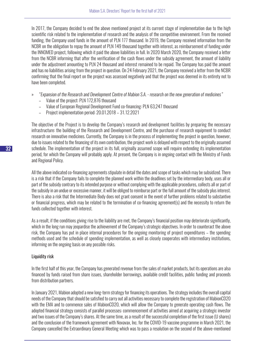In 2017, the Company decided to end the above mentioned project at its current stage of implementation due to the high scientific risk related to the implementation of research and the analysis of the competitive environment. From the received funding, the Company used funds in the amount of PLN 177 thousand. In 2019, the Company received information from the NCBR on the obligation to repay the amount of PLN 149 thousand together with interest, as reimbursement of funding under the INNOMED project, following which it paid the above liabilities in full. In 2020 March 2020, the Company received a letter from the NCBR informing that after the verification of the cash flows under the subsidy agreement, the amount of liability under the adjustment amounting to PLN 24 thousand and interest remained to be repaid. The Company has paid the amount and has no liabilities arising from the project in question. On 24 February 2021, the Company received a letter from the NCBR confirming that the final report on the project was assessed negatively and that the project was deemed in its entirety not to have been completed.

- » *"Expansion of the Research and Development Centre of Mabion S.A. research on the new generation of medicines"*
	- Value of the project: PLN 172,876 thousand
	- Value of European Regional Development Fund co-financing: PLN 63,247 thousand
	- Project implementation period: 20.01.2018 31.12.2021

The objective of the Project is to develop the Company's research and development facilities by preparing the necessary infrastructure: the building of the Research and Development Centre, and the purchase of research equipment to conduct research on innovative medicines. Currently, the Company is in the process of implementing the project in question, however, due to issues related to the financing of its own contribution, the project work is delayed with respect to the originally assumed schedule. The implementation of the project in its full, originally assumed scope will require extending its implementation period, for which the Company will probably apply. At present, the Company is in ongoing contact with the Ministry of Funds and Regional Policy.

All the above indicated co-financing agreements stipulate in detail the dates and scope of tasks which may be subsidized. There is a risk that if the Company fails to complete the planned work within the deadlines set by the intermediary body, uses all or part of the subsidy contrary to its intended purpose or without complying with the applicable procedures, collects all or part of the subsidy in an undue or excessive manner, it will be obliged to reimburse part or the full amount of the subsidy plus interest. There is also a risk that the Intermediate Body does not grant consent in the event of further problems related to substantive or financial progress, which may be related to the termination of co-financing agreement(s) and the necessity to return the funds collected together with interest.

As a result, if the conditions giving rise to the liability are met, the Company's financial position may deteriorate significantly, which in the long run may jeopardise the achievement of the Company's strategic objectives. In order to counteract the above risk, the Company has put in place internal procedures for the ongoing monitoring of project expenditures – the spending methods used and the schedule of spending implementation, as well as closely cooperates with intermediary institutions, informing on the ongoing basis on any possible risks.

#### Liquidity risk

In the first half of this year, the Company has generated revenue from the sales of market products, but its operations are also financed by funds raised from share issues, shareholder borrowings, available credit facilities, public funding and proceeds from distribution partners.

In January 2021, Mabion adopted a new long-term strategy for financing its operations. The strategy includes the overall capital needs of the Company that should be satisfied to carry out all activities necessary to complete the registration of MabionCD20 with the EMA and to commence sales of MabionCD20, which will allow the Company to generate operating cash flows. The adopted financial strategy consists of parallel processes: commencement of activities aimed at acquiring a strategic investor and two issues of the Company's shares. At the same time, as a result of the successful completion of the first issue (U shares) and the conclusion of the framework agreement with Novavax, Inc. for the COVID-19 vaccine programme in March 2021, the Company cancelled the Extraordinary General Meeting which was to pass a resolution on the second of the above-mentioned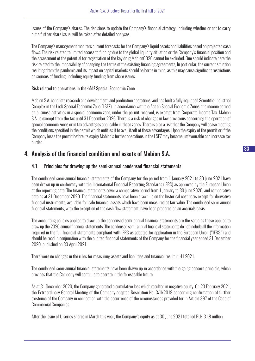issues of the Company's shares. The decisions to update the Company's financial strategy, including whether or not to carry out a further share issue, will be taken after detailed analyses.

The Company's management monitors current forecasts for the Company's liquid assets and liabilities based on projected cash flows. The risk related to limited access to funding due to the global liquidity situation or the Company's financial position and the assessment of the potential for registration of the key drug MabionCD20 cannot be excluded. One should indicate here the risk related to the impossibility of changing the terms of the existing financing agreements, In particular, the current situation resulting from the pandemic and its impact on capital markets should be borne in mind, as this may cause significant restrictions on sources of funding, including equity funding from share issues.

#### Risk related to operations in the Łódź Special Economic Zone

Mabion S.A. conducts research and development, and production operations, and has built a fully-equipped Scientific-Industrial Complex in the Łódź Special Economic Zone (LSEZ). In accordance with the Act on Special Economic Zones, the income earned on business activities in a special economic zone, under the permit received, is exempt from Corporate Income Tax. Mabion S.A. is exempt from the tax until 31 December 2026. There is a risk of changes in law provisions concerning the operation of special economic zones or in tax advantages applicable in those zones. There is also a risk that the Company will cease meeting the conditions specified in the permit which entitles it to avail itself of these advantages. Upon the expiry of the permit or if the Company loses the permit before its expiry Mabion's further operations in the LSEZ may become unfavourable and increase tax burden.

## 4. Analysis of the financial condition and assets of Mabion S.A.

## 4.1. Principles for drawing up the semi-annual condensed financial statements

The condensed semi-annual financial statements of the Company for the period from 1 January 2021 to 30 June 2021 have been drawn up in conformity with the International Financial Reporting Standards (IFRS) as approved by the European Union at the reporting date. The financial statements cover a comparative period from 1 January to 30 June 2020, and comparative data as at 31 December 2020. The financial statements have been drawn up on the historical cost basis except for derivative financial instruments, available-for-sale financial assets which have been measured at fair value. The condensed semi-annual financial statements, with the exception of the cash flow statement, have been prepared on an accruals basis.

The accounting policies applied to draw up the condensed semi-annual financial statements are the same as those applied to draw up the 2020 annual financial statements. The condensed semi-annual financial statements do not include all the information required in the full financial statements compliant with IFRS as adopted for application in the European Union ("IFRS") and should be read in conjunction with the audited financial statements of the Company for the financial year ended 31 December 2020, published on 30 April 2021.

There were no changes in the rules for measuring assets and liabilities and financial result in H1 2021.

The condensed semi-annual financial statements have been drawn up in accordance with the going concern principle, which provides that the Company will continue to operate in the foreseeable future.

As at 31 December 2020, the Company generated a cumulative loss which resulted in negative equity. On 23 February 2021, the Extraordinary General Meeting of the Company adopted Resolution No. 3/II/2019 concerning confirmation of further existence of the Company in connection with the occurrence of the circumstances provided for in Article 397 of the Code of Commercial Companies.

After the issue of U series shares in March this year, the Company's equity as at 30 June 2021 totalled PLN 31.8 million.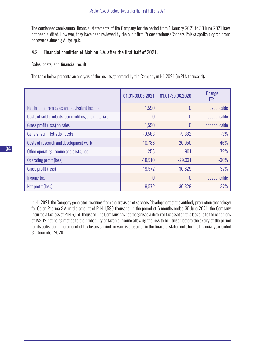The condensed semi-annual financial statements of the Company for the period from 1 January 2021 to 30 June 2021 have not been audited. However, they have been reviewed by the audit firm PricewaterhouseCoopers Polska spółka z ograniczoną odpowiedzialnością Audyt sp.k.

#### 4.2. Financial condition of Mabion S.A. after the first half of 2021.

#### Sales, costs, and financial result

The table below presents an analysis of the results generated by the Company in H1 2021 (in PLN thousand):

|                                                    | 01.01-30.06.2021 | 01.01-30.06.2020 | <b>Change</b><br>(9/0) |
|----------------------------------------------------|------------------|------------------|------------------------|
| Net income from sales and equivalent income        | 1,590            | 0                | not applicable         |
| Costs of sold products, commodities, and materials | 0                | 0                | not applicable         |
| Gross profit (loss) on sales                       | 1,590            | 0                | not applicable         |
| <b>General administration costs</b>                | $-9,568$         | $-9,882$         | $-3%$                  |
| Costs of research and development work             | $-10,788$        | $-20,050$        | $-46%$                 |
| Other operating income and costs, net              | 256              | 901              | $-72%$                 |
| Operating profit (loss)                            | $-18,510$        | $-29,031$        | $-36%$                 |
| Gross profit (loss)                                | $-19,572$        | $-30,829$        | $-37%$                 |
| Income tax                                         | 0                | 0                | not applicable         |
| Net profit (loss)                                  | $-19,572$        | $-30,829$        | $-37%$                 |

In H1 2021, the Company generated revenues from the provision of services (development of the antibody production technology) for Celon Pharma S.A. in the amount of PLN 1,590 thousand. In the period of 6 months ended 30 June 2021, the Company incurred a tax loss of PLN 6,150 thousand. The Company has not recognised a deferred tax asset on this loss due to the conditions of IAS 12 not being met as to the probability of taxable income allowing the loss to be utilised before the expiry of the period for its utilisation. The amount of tax losses carried forward is presented in the financial statements for the financial year ended 31 December 2020.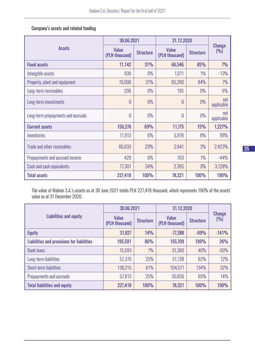Company's assets and related funding

|                                    | 30.06.2021                     |                  | 31.12.2020                     |                  |                      |
|------------------------------------|--------------------------------|------------------|--------------------------------|------------------|----------------------|
| <b>Assets</b>                      | <b>Value</b><br>(PLN thousand) | <b>Structure</b> | <b>Value</b><br>(PLN thousand) | <b>Structure</b> | <b>Change</b><br>(9) |
| <b>Fixed assets</b>                | 71,142                         | 31%              | 66,546                         | 85%              | 7%                   |
| Intangible assets                  | 930                            | $0\%$            | 1,071                          | $1\%$            | $-13%$               |
| Property, plant and equipment      | 70,006                         | 31%              | 65,280                         | 84%              | 7%                   |
| Long-term receivables              | 206                            | $0\%$            | 195                            | $0\%$            | 6%                   |
| Long-term investments              | $\theta$                       | 0%               | $\theta$                       | $0\%$            | not<br>applicable    |
| Long-term prepayments and accruals | $\theta$                       | 0%               | 0                              | $0\%$            | not<br>applicable    |
| <b>Current assets</b>              | 156,276                        | 69%              | 11,775                         | 15%              | 1,227%               |
| Inventories                        | 11,913                         | 6%               | 5,976                          | 8%               | 99%                  |
| <b>Trade and other receivables</b> | 66,633                         | 29%              | 2,641                          | 3%               | 2,423%               |
| Prepayments and accrued income     | 429                            | 0%               | 763                            | $1\%$            | $-44%$               |
| Cash and cash equivalents          | 77,301                         | 34%              | 2,395                          | 3%               | 3,128%               |
| <b>Total assets</b>                | 227,418                        | <b>100%</b>      | 78,321                         | <b>100%</b>      | <b>190%</b>          |

The value of Mabion S.A.'s assets as at 30 June 2021 totals PLN 227,418 thousand, which represents 190% of the assets' value as at 31 December 2020.

|                                            | 30.06.2021                     |                  | 31.12.2020                     |                  |                      |
|--------------------------------------------|--------------------------------|------------------|--------------------------------|------------------|----------------------|
| <b>Liabilities and equity</b>              | <b>Value</b><br>(PLN thousand) | <b>Structure</b> | <b>Value</b><br>(PLN thousand) | <b>Structure</b> | <b>Change</b><br>(9) |
| <b>Equity</b>                              | 31,827                         | 14%              | $-77,388$                      | $-99%$           | $-141%$              |
| Liabilities and provisions for liabilities | 195,591                        | 86%              | 155,709                        | 199%             | 26%                  |
| <b>Bank loans</b>                          | 15,593                         | 7%               | 31,380                         | 40%              | $-50%$               |
| Long-term liabilities                      | 57,376                         | 25%              | 51,138                         | 65%              | 12%                  |
| Short-term liabilities                     | 138,215                        | 61%              | 104,571                        | 134%             | 32%                  |
| Prepayments and accruals                   | 57,815                         | 25%              | 50,856                         | 65%              | 14%                  |
| <b>Total liabilities and equity</b>        | 227,418                        | <b>100%</b>      | 78,321                         | <b>100%</b>      | <b>190%</b>          |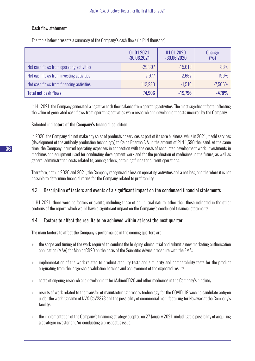### Cash flow statement

The table below presents a summary of the Company's cash flows (in PLN thousand):

|                                          | 01.01.2021<br>$-30.06.2021$ | 01.01.2020<br>$-30.06.2020$ | <b>Change</b><br>(9/0) |
|------------------------------------------|-----------------------------|-----------------------------|------------------------|
| Net cash flows from operating activities | $-29,397$                   | $-15,613$                   | 88%                    |
| Net cash flows from investing activities | $-7.977$                    | $-2,667$                    | 199%                   |
| Net cash flows from financing activities | 112,280                     | $-1,516$                    | $-7,506%$              |
| <b>Total net cash flows</b>              | 74,906                      | $-19,796$                   | $-478%$                |

In H1 2021, the Company generated a negative cash flow balance from operating activities. The most significant factor affecting the value of generated cash flows from operating activities were research and development costs incurred by the Company.

#### Selected indicators of the Company's financial condition

In 2020, the Company did not make any sales of products or services as part of its core business, while in 2021, it sold services (development of the antibody production technology) to Celon Pharma S.A. in the amount of PLN 1,590 thousand. At the same time, the Company incurred operating expenses in connection with the costs of conducted development work, investments in machines and equipment used for conducting development work and for the production of medicines in the future, as well as general administration costs related to, among others, obtaining funds for current operations.

Therefore, both in 2020 and 2021, the Company recognised a loss on operating activities and a net loss, and therefore it is not possible to determine financial ratios for the Company related to profitability.

## 4.3. Description of factors and events of a significant impact on the condensed financial statements

In H1 2021, there were no factors or events, including those of an unusual nature, other than those indicated in the other sections of the report, which would have a significant impact on the Company's condensed financial statements.

## 4.4. Factors to affect the results to be achieved within at least the next quarter

The main factors to affect the Company's performance in the coming quarters are:

- » the scope and timing of the work required to conduct the bridging clinical trial and submit a new marketing authorisation application (MAA) for MabionCD20 on the basis of the Scientific Advice procedure with the EMA;
- » implementation of the work related to product stability tests and similarity and comparability tests for the product originating from the large-scale validation batches and achievement of the expected results;
- » costs of ongoing research and development for MabionCD20 and other medicines in the Company's pipeline;
- » results of work related to the transfer of manufacturing process technology for the COVID-19 vaccine candidate antigen under the working name of NVX-CoV2373 and the possibility of commercial manufacturing for Novavax at the Company's facility;
- » the implementation of the Company's financing strategy adopted on 27 January 2021, including the possibility of acquiring a strategic investor and/or conducting a prospectus issue;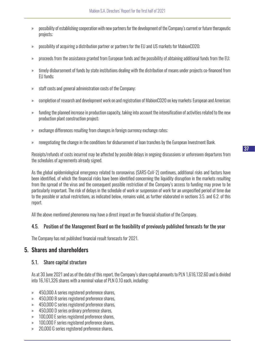- » possibility of establishing cooperation with new partners for the development of the Company's current or future therapeutic projects;
- » possibility of acquiring a distribution partner or partners for the EU and US markets for MabionCD20;
- » proceeds from the assistance granted from European funds and the possibility of obtaining additional funds from the EU;
- » timely disbursement of funds by state institutions dealing with the distribution of means under projects co-financed from EU funds;
- » staff costs and general administration costs of the Company;
- » completion of research and development work on and registration of MabionCD20 on key markets: European and American;
- » funding the planned increase in production capacity, taking into account the intensification of activities related to the new production plant construction project;
- » exchange differences resulting from changes in foreign currency exchange rates;
- » renegotiating the change in the conditions for disbursement of loan tranches by the European Investment Bank.

Receipts/refunds of costs incurred may be affected by possible delays in ongoing discussions or unforeseen departures from the schedules of agreements already signed.

As the global epidemiological emergency related to coronavirus (SARS-CoV-2) continues, additional risks and factors have been identified, of which the financial risks have been identified concerning the liquidity disruption in the markets resulting from the spread of the virus and the consequent possible restriction of the Company's access to funding may prove to be particularly important. The risk of delays in the schedule of work or suspension of work for an unspecified period of time due to the possible or actual restrictions, as indicated below, remains valid, as further elaborated in sections 3.5. and 6.2. of this report.

All the above mentioned phenomena may have a direct impact on the financial situation of the Company.

## 4.5. Position of the Management Board on the feasibility of previously published forecasts for the year

The Company has not published financial result forecasts for 2021.

## 5. Shares and shareholders

#### 5.1. Share capital structure

As at 30 June 2021 and as of the date of this report, the Company's share capital amounts to PLN 1,616,132.60 and is divided into 16,161,326 shares with a nominal value of PLN 0.10 each, including:

- » 450,000 A series registered preference shares,
- » 450,000 B series registered preference shares,
- » 450,000 C series registered preference shares,
- » 450,000 D series ordinary preference shares,
- » 100,000 E series registered preference shares,
- » 100,000 F series registered preference shares,
- » 20,000 G series registered preference shares,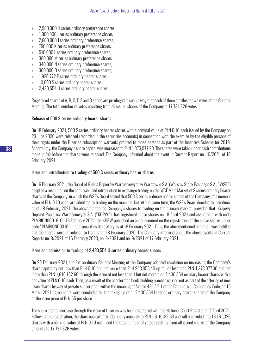- » 2,980,000 H series ordinary preference shares,
- » 1,900,000 I series ordinary preference shares,
- » 2,600,000 J series ordinary preference shares,
- » 790,000 K series ordinary preference shares,
- » 510,000 L series ordinary preference shares,
- » 360,000 M series ordinary preference shares,
- » 340,000 N series ordinary preference shares,
- » 300,000 O series ordinary preference shares,
- » 1,920,772 P series ordinary bearer shares,
- » 10,000 S series ordinary bearer shares.
- » 2,430,554 U series ordinary bearer shares,

Registered shares of A, B, C, E, F and G series are privileged in such a way that each of them entitles to two votes at the General Meeting. The total number of votes resulting from all issued shares of the Company is 17,731,326 votes.

#### Release of 500 S series ordinary bearer shares

On 18 February 2021, 500 S series ordinary bearer shares with a nominal value of PLN 0.10 each issued by the Company on 23 June 2020 were released (recorded in the securities accounts) in connection with the exercise by the eligible persons of their rights under the B series subscription warrants granted to those persons as part of the Incentive Scheme for 2019. Accordingly, the Company's share capital was increased to PLN 1,373,077.20. The shares were taken up for cash contributions made in full before the shares were released. The Company informed about the event in Current Report no. 10/2021 of 18 February 2021.

#### Issue and introduction to trading of 500 S series ordinary bearer shares

On 16 February 2021, the Board of Giełda Papierów Wartościowych w Warszawie S.A. (Warsaw Stock Exchange S.A., "WSE") adopted a resolution on the admission and introduction to exchange trading on the WSE Main Market of S series ordinary bearer shares of the Company, in which the WSE's Board stated that 500 S series ordinary bearer shares of the Company, of a nominal value of PLN 0.10 each, are admitted to trading on the main market. At the same time, the WSE's Board decided to introduce, as of 18 February 2021, the above mentioned Company's shares to trading on the primary market, provided that Krajowy Depozyt Papierów Wartościowych S.A. ("KDPW") has registered these shares on 18 April 2021 and assigned it with code PLMBION00016. On 16 February 2021, the KDPW published an announcement on the registration of the above shares under code "PLMBION00016" in the securities depository as of 18 February 2021. Thus, the aforementioned condition was fulfilled and the shares were introduced to trading on 18 February 2020. The Company informed about the above events in Current Reports no. 8/2021 of 16 February 2020, no. 8/2021 and no. 9/2021 of 17 February 2021.

#### Issue and admission to trading of 2,430,554 U series ordinary bearer shares

On 23 February 2021, the Extraordinary General Meeting of the Company adopted resolution on increasing the Company's share capital by not less than PLN 0.10 and not more than PLN 243,055.40 up to not less than PLN 1,373,077.30 and not more than PLN 1,616,132.60 through the issue of not less than 1 but not more than 2,430,554 ordinary bearer shares with a par value of PLN 0.10 each. Then, as a result of the accelerated book-building process carried out as part of the offering of new issue shares by way of private subscription within the meaning of Article 431 § 2.1 of the Commercial Companies Code, on 15 March 2021 agreements were concluded for the taking up of all 2,430,554 U series ordinary bearer shares of the Company at the issue price of PLN 55 per share.

The share capital increase through the issue of U series was been registered with the National Court Register on 2 April 2021. Following the registration, the share capital of the Company amounts to PLN 1,616,132.60 and will be divided into 16,161,326 shares with a nominal value of PLN 0.10 each, and the total number of votes resulting from all issued shares of the Company amounts to 17,731,326 votes.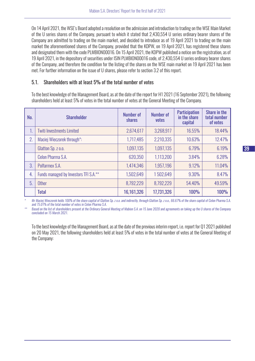On 14 April 2021, the WSE's Board adopted a resolution on the admission and introduction to trading on the WSE Main Market of the U series shares of the Company, pursuant to which it stated that 2,430,554 U series ordinary bearer shares of the Company are admitted to trading on the main market, and decided to introduce as of 19 April 2021 to trading on the main market the aforementioned shares of the Company, provided that the KDPW, on 19 April 2021, has registered these shares and designated them with the code PLMBION00016. On 15 April 2021, the KDPW published a notice on the registration, as of 19 April 2021, in the depository of securities under ISIN PLMBION00016 code, of 2,430,554 U series ordinary bearer shares of the Company, and therefore the condition for the listing of the shares on the WSE main market on 19 April 2021 has been met. For further information on the issue of U shares, please refer to section 3.2 of this report.

## 5.1. Shareholders with at least 5% of the total number of votes

To the best knowledge of the Management Board, as at the date of the report for H1 2021 (16 September 2021), the following shareholders held at least 5% of votes in the total number of votes at the General Meeting of the Company.

| No. | <b>Shareholder</b>                    | <b>Number of</b><br>shares | <b>Number of</b><br>votes | <b>Participation</b><br>in the share<br>capital | Share in the<br>total number<br>of votes |
|-----|---------------------------------------|----------------------------|---------------------------|-------------------------------------------------|------------------------------------------|
| т.  | <b>Twiti Investments Limited</b>      | 2,674,617                  | 3,268,917                 | 16.55%                                          | 18.44%                                   |
| 2.  | Maciej Wieczorek through*:            | 1,717,485                  | 2,210,335                 | 10.63%                                          | 12.47%                                   |
|     | Glatton Sp. z o.o.                    | 1,097,135                  | 1,097,135                 | 6.79%                                           | 6.19%                                    |
|     | Celon Pharma S.A.                     | 620,350                    | 1,113,200                 | 3.84%                                           | 6.28%                                    |
| 3   | Polfarmex S.A.                        | 1,474,346                  | 1,957,196                 | 9.12%                                           | 11.04%                                   |
| 4.  | Funds managed by Investors TFI S.A.** | 1,502,649                  | 1502,649                  | 9.30%                                           | 8.47%                                    |
| 5.  | <b>Other</b>                          | 8,792,229                  | 8,792,229                 | 54.40%                                          | 49.59%                                   |
|     | <b>Total</b>                          | 16,161,326                 | 17,731,326                | <b>100%</b>                                     | <b>100%</b>                              |

*\* Mr Maciej Wieczorek holds 100% of the share capital of Glatton Sp. z o.o. and indirectly, through Glatton Sp. z o.o., 66.67% of the share capital of Celon Pharma S.A. and 75.01% of the total number of votes in Celon Pharma S.A.*

*\*\* Based on the list of shareholders present at the Ordinary General Meeting of Mabion S.A. on 15 June 2020 and agreements on taking up the U shares of the Company concluded on 15 March 2021.*

To the best knowledge of the Management Board, as at the date of the previous interim report, i.e. report for Q1 2021 published on 20 May 2021, the following shareholders held at least 5% of votes in the total number of votes at the General Meeting of the Company: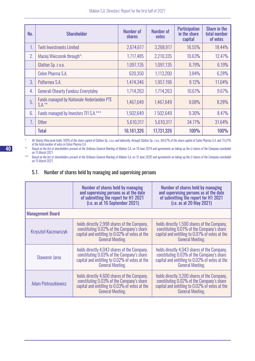| No. | <b>Shareholder</b>                                            | Number of<br>shares | Number of<br>votes | <b>Participation</b><br>in the share<br>capital | Share in the<br>total number<br>of votes |
|-----|---------------------------------------------------------------|---------------------|--------------------|-------------------------------------------------|------------------------------------------|
| 1.  | <b>Twiti Investments Limited</b>                              | 2,674,617           | 3,268,917          | 16.55%                                          | 18.44%                                   |
| 2.  | Maciej Wieczorek through*:                                    | 1,717,485           | 2,210,335          | 10.63%                                          | 12.47%                                   |
|     | Glatton Sp. z o.o.                                            | 1,097,135           | 1,097,135          | 6.79%                                           | 6.19%                                    |
|     | Celon Pharma S.A.                                             | 620,350             | 1,113,200          | 3.84%                                           | 6.28%                                    |
| 3.  | Polfarmex S.A.                                                | 1,474,346           | 1,957,196          | 9.12%                                           | 11.04%                                   |
| 4.  | <b>Generali Otwarty Fundusz Emerytalny</b>                    | 1,714,263           | 1,714,263          | 10.61%                                          | 9.67%                                    |
| 5.  | <b>Funds managed by Nationale-Nederlanden PTE</b><br>$S.A.**$ | 1,467,649           | 1,467,649          | 9.08%                                           | 8.28%                                    |
| 6.  | Funds managed by Investors TFI S.A.***                        | 1,502,649           | 1502,649           | 9.30%                                           | 8.47%                                    |
| 7.  | <b>Other</b>                                                  | 5,610,317           | 5,610,317          | 34.71%                                          | 31.64%                                   |
|     | <b>Total</b>                                                  | 16,161,326          | 17,731,326         | <b>100%</b>                                     | <b>100%</b>                              |

*\* Mr Maciej Wieczorek holds 100% of the share capital of Glatton Sp. z o.o. and indirectly, through Glatton Sp. z o.o., 66.67% of the share capital of Celon Pharma S.A. and 75.01% of the total number of votes in Celon Pharma S.A.*

*\*\* Based on the list of shareholders present at the Ordinary General Meeting of Mabion S.A. on 18 June 2019 and agreements on taking up the U shares of the Company concluded on 15 March 2021.*

*\*\*\* Based on the list of shareholders present at the Ordinary General Meeting of Mabion S.A. on 15 June 2020 and agreements on taking up the U shares of the Company concluded on 15 March 2021.*

# 5.1. Number of shares held by managing and supervising persons

|                              | Number of shares held by managing<br>and supervising persons as at the date<br>of submitting the report for H1 2021<br>(i.e. as at 16 September 2021)                 | Number of shares held by managing<br>and supervising persons as at the date<br>of submitting the report for H1 2021<br>(i.e. as at 20 May 2021)                       |
|------------------------------|-----------------------------------------------------------------------------------------------------------------------------------------------------------------------|-----------------------------------------------------------------------------------------------------------------------------------------------------------------------|
| <b>Management Board</b>      |                                                                                                                                                                       |                                                                                                                                                                       |
| <b>Krzysztof Kaczmarczyk</b> | holds directly 2,998 shares of the Company,<br>constituting 0.02% of the Company's share<br>capital and entitling to 0.02% of votes at the<br><b>General Meeting.</b> | holds directly 1,500 shares of the Company,<br>constituting 0.01% of the Company's share<br>capital and entitling to 0.01% of votes at the<br><b>General Meeting.</b> |
| <b>Sławomir Jaros</b>        | holds directly 4,043 shares of the Company,<br>constituting 0.03% of the Company's share<br>capital and entitling to 0.02% of votes at the<br><b>General Meeting.</b> | holds directly 4,043 shares of the Company,<br>constituting 0.03% of the Company's share<br>capital and entitling to 0.02% of votes at the<br><b>General Meeting.</b> |
| Adam Pietruszkiewicz         | holds directly 4,600 shares of the Company,<br>constituting 0.03% of the Company's share<br>capital and entitling to 0.03% of votes at the<br><b>General Meeting.</b> | holds directly 3,200 shares of the Company,<br>constituting 0.02% of the Company's share<br>capital and entitling to 0.02% of votes at the<br><b>General Meeting.</b> |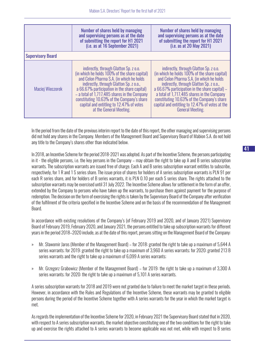|                          | Number of shares held by managing<br>and supervising persons as at the date<br>of submitting the report for H1 2021<br>(i.e. as at 16 September 2021)                                                                                                                                                                                                                                                 | Number of shares held by managing<br>and supervising persons as at the date<br>of submitting the report for H1 2021<br>(i.e. as at 20 May 2021)                                                                                                                                                                                                                                                              |
|--------------------------|-------------------------------------------------------------------------------------------------------------------------------------------------------------------------------------------------------------------------------------------------------------------------------------------------------------------------------------------------------------------------------------------------------|--------------------------------------------------------------------------------------------------------------------------------------------------------------------------------------------------------------------------------------------------------------------------------------------------------------------------------------------------------------------------------------------------------------|
| <b>Supervisory Board</b> |                                                                                                                                                                                                                                                                                                                                                                                                       |                                                                                                                                                                                                                                                                                                                                                                                                              |
| Maciej Wieczorek         | indirectly, through Glatton Sp. z o.o.<br>(in which he holds 100% of the share capital)<br>and Celon Pharma S.A. (in which he holds<br>indirectly, through Glatton Sp. z o.o.,<br>a 66.67% participation in the share capital)<br>$-$ a total of 1,717,485 shares in the Company<br>constituting 10.63% of the Company's share<br>capital and entitling to 12.47% of votes<br>at the General Meeting. | indirectly, through Glatton Sp. z o.o.<br>(in which he holds 100% of the share capital)<br>and Celon Pharma S.A. (in which he holds<br>indirectly, through Glatton Sp. z o.o.,<br>a 66.67% participation in the share capital) $-$<br>a total of 1,717,485 shares in the Company<br>constituting 10.63% of the Company's share<br>capital and entitling to 12.47% of votes at the<br><b>General Meeting.</b> |

In the period from the date of the previous interim report to the date of this report, the other managing and supervising persons did not hold any shares in the Company. Members of the Management Board and Supervisory Board of Mabion S.A. do not hold any title to the Company's shares other than indicated below.

In 2018, an Incentive Scheme for the period 2018-2021 was adopted. As part of the Incentive Scheme, the persons participating in it - the eligible persons, i.e. the key persons in the Company – may obtain the right to take up A and B series subscription warrants. The subscription warrants are issued free of charge. Each A and B series subscription warrant entitles to subscribe, respectively, for 1 R and 1 S series share. The issue price of shares for holders of A series subscription warrants is PLN 91 per each R series share, and for holders of B series warrants, it is PLN 0.10 per each S series share. The rights attached to the subscription warrants may be exercised until 31 July 2022. The Incentive Scheme allows for settlement in the form of an offer, extended by the Company to persons who have taken up the warrants, to purchase them against payment for the purpose of redemption. The decision on the form of exercising the rights is taken by the Supervisory Board of the Company after verification of the fulfilment of the criteria specified in the Incentive Scheme and on the basis of the recommendation of the Management Board.

In accordance with existing resolutions of the Company's (of February 2019 and 2020, and of January 2021) Supervisory Board of February 2019, February 2020, and January 2021, the persons entitled to take up subscription warrants for different years in the period 2018–2020 include, as at the date of this report, persons sitting on the Management Board of the Company:

- » Mr. Sławomir Jaros (Member of the Management Board) for 2018: granted the right to take up a maximum of 5,644 A series warrants; for 2019: granted the right to take up a maximum of 3,960 A series warrants; for 2020: granted 213 B series warrants and the right to take up a maximum of 6,099 A series warrants;
- » Mr. Grzegorz Grabowicz (Member of the Management Board) for 2019: the right to take up a maximum of 3,300 A series warrants; for 2020: the right to take up a maximum of 5,101 A series warrants.

A series subscription warrants for 2018 and 2019 were not granted due to failure to meet the market target in these periods. However, in accordance with the Rules and Regulations of the Incentive Scheme, these warrants may be granted to eligible persons during the period of the Incentive Scheme together with A series warrants for the year in which the market target is met.

As regards the implementation of the Incentive Scheme for 2020, in February 2021 the Supervisory Board stated that in 2020, with respect to A series subscription warrants, the market objective constituting one of the two conditions for the right to take up and exercise the rights attached to A series warrants to become applicable was not met, while with respect to B series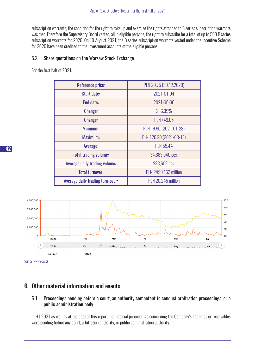subscription warrants, the condition for the right to take up and exercise the rights attached to B series subscription warrants was met. Therefore the Supervisory Board vested, all in eligible persons, the right to subscribe for a total of up to 500 B series subscription warrants for 2020. On 10 August 2021, the B series subscription warrants vested under the Incentive Scheme for 2020 have been credited to the investment accounts of the eligible persons.

#### 5.2. Share quotations on the Warsaw Stock Exchange

For the first half of 2021:

| <b>Reference price:</b>          | PLN 20.75 (30.12.2020)      |
|----------------------------------|-----------------------------|
| <b>Start date:</b>               | 2021-01-04                  |
| End date:                        | 2021-06-30                  |
| <b>Change:</b>                   | 236.39%                     |
| <b>Change:</b>                   | PLN +49.05                  |
| Minimum:                         | PLN 19.90 (2021-01-28)      |
| Maximum:                         | PLN 126.20 (2021-03-15)     |
| Average:                         | <b>PLN 55.44</b>            |
| <b>Total trading volume:</b>     | 34,883,040 pcs.             |
| Average daily trading volume:    | 283,602 pcs.                |
| <b>Total turnover:</b>           | <b>PLN 2490.162 million</b> |
| Average daily trading turn-over: | PLN 20.245 million          |



*Source: www.gpw.pl* 

## 6. Other material information and events

#### 6.1. Proceedings pending before a court, an authority competent to conduct arbitration proceedings, or a public administration body

In H1 2021 as well as at the date of this report, no material proceedings concerning the Company's liabilities or receivables were pending before any court, arbitration authority, or public administration authority.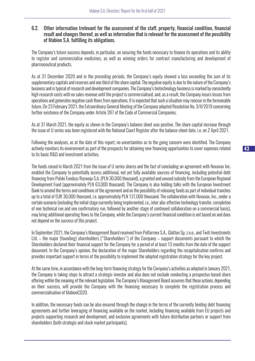#### 6.2. Other information trelevant for the assessment of the staff, property, financial condition, financial result and changes thereof, as well as information that is relevant for the assessment of the possibility of Mabion S.A. fulfilling its obligations.

The Company's future success depends, in particular, on securing the funds necessary to finance its operations and its ability to register and commercialise medicines, as well as winning orders for contract manufacturing and development of pharmaceutical products.

As at 31 December 2020 and in the preceding periods, the Company's equity showed a loss exceeding the sum of its supplementary capitals and reserves and one third of the share capital. The negative equity is due to the nature of the Company's business and is typical of research and development companies. The Company's biotechnology business is marked by consistently high research costs with no sales revenue until the project is commercialised, and, as a result, the Company incurs losses from operations and generates negative cash flows from operations. It is expected that such a situation may reoccur in the foreseeable future. On 23 February 2021, the Extraordinary General Meeting of the Company adopted Resolution No. 3/II/2019 concerning further existence of the Company under Article 397 of the Code of Commercial Companies.

As at 31 March 2021, the equity as shown in the Company's balance sheet was positive. The share capital increase through the issue of U series was been registered with the National Court Register after the balance-sheet date, i.e. on 2 April 2021.

Following the analyses, as at the date of this report, no uncertainties as to the going concern were identified. The Company actively monitors its environment as part of the prospects for obtaining new financing opportunities to cover expenses related to its basic R&D and investment activities.

The funds raised in March 2021 from the issue of U series shares and the fact of concluding an agreement with Novavax Inc. enabled the Company to potentially access additional, not yet fully available sources of financing, including potential debt financing from Polski Fundusz Rozwoju S.A. (PLN 30,000 thousand), a granted and unused subsidy from the European Regional Development Fund (approximately PLN 63,000 thousand). The Company is also holding talks with the European Investment Bank to amend the terms and conditions of the agreement and on the possibility of releasing funds as part of individual tranches up to a total of EUR 30,000 thousand, i.e. approximately PLN 137,000 thousand. The collaboration with Novavax, Inc., under a certain scenario (including the initial stage currently being implemented, i.e., inter alia: effective technology transfer, completion of one technical run and one confirmatory run, followed by another stage of continued collaboration on a commercial basis), may bring additional operating flows to the Company, while the Company's current financial condition is not based on and does not depend on the success of this project.

In September 2021, the Company's Management Board received from Polfarmex S.A., Glatton Sp. z o.o., and Twiti Investments Ltd. – the major (founding) shareholders ("Shareholders") of the Company – support documents pursuant to which the Shareholders declared their financial support for the Company for a period of at least 13 months from the date of the support document. In the Company's opinion, the declaration of the major Shareholders regarding the recapitalisation confirms and provides important support in terms of the possibility to implement the adopted registration strategy for the key project.

At the same time, in accordance with the long-term financing strategy for the Company's activities as adopted in January 2021, the Company is taking steps to attract a strategic investor and also does not exclude conducting a prospectus-based share offering within the meaning of the relevant legislation. The Company's Management Board assumes that these actions, depending on their success, will provide the Company with the financing necessary to complete the registration process and commercialisation of MabionCD20.

In addition, the necessary funds can be also ensured through the change in the terms of the currently binding debt financing agreements and further leveraging of financing available on the market, including financing available from EU projects and projects supporting research and development, and exclusive agreements with future distribution partners or support from shareholders (both strategic and stock market participants).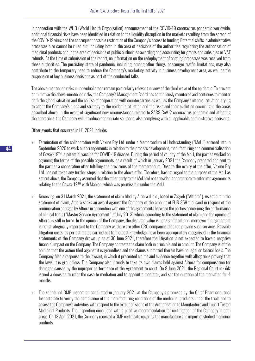In connection with the WHO (World Health Organization) announcement of the COVID-19 coronavirus pandemic worldwide, additional financial risks have been identified in relation to the liquidity disruption in the markets resulting from the spread of the COVID-19 virus and the consequent possible restriction of the Company's access to funding. Potential shifts in administrative processes also cannot be ruled out, including both in the area of decisions of the authorities regulating the authorisation of medicinal products and in the area of decisions of public authorities awarding and accounting for grants and subsidies or VAT refunds. At the time of submission of the report, no information on the redeployment of ongoing processes was received from these authorities. The persisting state of pandemic, including, among other things, passenger traffic limitations, may also contribute to the temporary need to reduce the Company's marketing activity in business development area, as well as the suspension of key business decisions as part of the conducted talks.

The above-mentioned risks in individual areas remain particularly relevant in view of the third wave of the epidemic. To prevent or minimise the above-mentioned risks, the Company's Management Board has continuously monitored and continues to monitor both the global situation and the course of cooperation with counterparties as well as the Company's internal situation, trying to adapt the Company's plans and strategy to the epidemic situation and the risks and their evolution occurring in the areas described above. In the event of significant new circumstances related to SARS-CoV-2 coronavirus pandemic and affecting the operations, the Company will introduce appropriate solutions, also complying with all applicable administrative decisions.

Other events that occurred in H1 2021 include:

- » Termination of the collaboration with Vaxine Pty Ltd. under a Memorandum of Understanding ("MoU") entered into in September 2020 to work out arrangements in relation to the process development, manufacturing and commercialisation of Covax-19™, a potential vaccine for COVID-19 disease. During the period of validity of the MoU, the parties worked on agreeing the terms of the possible agreements, as a result of which in January 2021 the Company prepared and sent to the partner a cooperation offer fulfilling the provisions of the memorandum. Despite the expiry of the offer, Vaxine Pty Ltd. has not taken any further steps in relation to the above offer. Therefore, having regard to the purpose of the MoU as set out above, the Company assumed that the other party to the MoU did not consider it appropriate to enter into agreements relating to the Covax-19™ with Mabion, which was permissible under the MoU.
- » Receiving, on 31 March 2021, the statement of claim filed by Altiora d. o.o., based in Zagreb ("Altiora"). As set out in the statement of claim, Altiora seeks an award against the Company of the amount of EUR 359 thousand in respect of the remuneration charged by Altiora in connection with one of the agreements between the parties concerning the performance of clinical trials ("Master Service Agreement" of July 2013) which, according to the statement of claim and the opinion of Altiora, is still in force. In the opinion of the Company, the disputed value is not significant and, moreover the agreement is not strategically important to the Company as there are other CRO companies that can provide such services. Possible litigation costs, as per estimates carried out to the best knowledge, have been appropriately recognised in the financial statements of the Company drawn up as at 30 June 2021, therefore the litigation is not expected to have a negative financial impact on the Company. The Company contests the claim both in principle and in amount. The Company is of the opinion that the action filed against it is groundless and the claims submitted therein have no legal or factual basis. The Company filed a response to the lawsuit, in which it presented claims and evidence together with allegations proving that the lawsuit is groundless. The Company also intends to take its own claims held against Altiora for compensation for damages caused by the improper performance of the Agreement to court. On 8 June 2021, the Regional Court in Łódź issued a decision to refer the case to mediation and to appoint a mediator, and set the duration of the mediation for 4 months.
- » The scheduled GMP inspection conducted in January 2021 at the Company's premises by the Chief Pharmaceutical Inspectorate to verify the compliance of the manufacturing conditions of the medicinal products under the trials and to assess the Company's activities with respect to the extended scope of the Authorisation to Manufacture and Import Tested Medicinal Products. The inspection concluded with a positive recommendation for certification of the Company in both areas. On 13 April 2021, the Company received a GMP certificate covering the manufacture and import of studied medicinal products.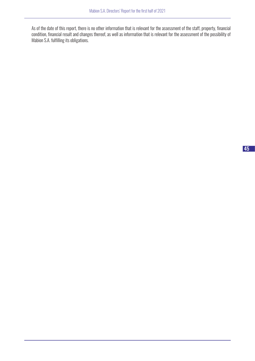As of the date of this report, there is no other information that is relevant for the assessment of the staff, property, financial condition, financial result and changes thereof, as well as information that is relevant for the assessment of the possibility of Mabion S.A. fulfilling its obligations.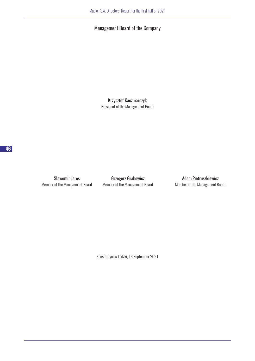## Management Board of the Company

Krzysztof Kaczmarczyk President of the Management Board

Member of the Management Board Member of the Management Board Member of the Management Board

Sławomir Jaros **Grzegorz Grabowicz Grammatical Adam Pietruszkiewicz** 

Konstantynów Łódzki, 16 September 2021